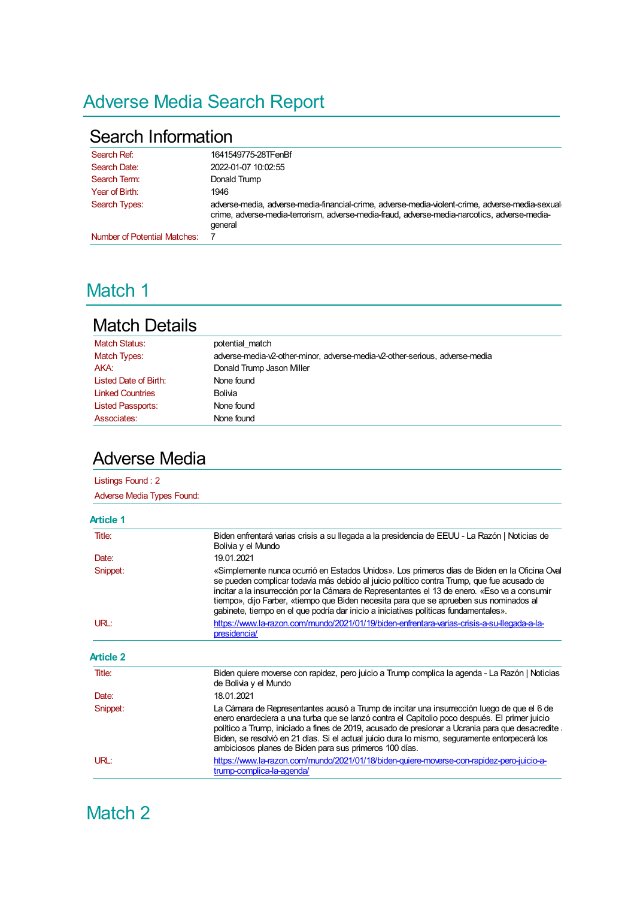# Adverse Media Search Report

#### Search Information

| Search Ref:                         | 1641549775-28TFenBf                                                                                                                                                                                        |
|-------------------------------------|------------------------------------------------------------------------------------------------------------------------------------------------------------------------------------------------------------|
| Search Date:                        | 2022-01-07 10:02:55                                                                                                                                                                                        |
| Search Term:                        | Donald Trump                                                                                                                                                                                               |
| Year of Birth:                      | 1946                                                                                                                                                                                                       |
| Search Types:                       | adverse-media, adverse-media-financial-crime, adverse-media-violent-crime, adverse-media-sexual<br>crime, adverse-media-terrorism, adverse-media-fraud, adverse-media-narcotics, adverse-media-<br>general |
| <b>Number of Potential Matches:</b> |                                                                                                                                                                                                            |

## Match 1

### Match Details

| <b>Match Status:</b>     | potential match                                                             |
|--------------------------|-----------------------------------------------------------------------------|
| Match Types:             | adverse-media-v2-other-minor, adverse-media-v2-other-serious, adverse-media |
| AKA:                     | Donald Trump Jason Miller                                                   |
| Listed Date of Birth:    | None found                                                                  |
| <b>Linked Countries</b>  | Bolivia                                                                     |
| <b>Listed Passports:</b> | None found                                                                  |
| Associates:              | None found                                                                  |
|                          |                                                                             |

### Adverse Media

| Listings Found: 2                 |                                                                                                                                                                                                                                                                                                                                                                                                                                                                              |  |
|-----------------------------------|------------------------------------------------------------------------------------------------------------------------------------------------------------------------------------------------------------------------------------------------------------------------------------------------------------------------------------------------------------------------------------------------------------------------------------------------------------------------------|--|
| <b>Adverse Media Types Found:</b> |                                                                                                                                                                                                                                                                                                                                                                                                                                                                              |  |
| Article 1                         |                                                                                                                                                                                                                                                                                                                                                                                                                                                                              |  |
| Title:                            | Biden enfrentará varias crisis a su llegada a la presidencia de EEUU - La Razón   Noticias de<br>Bolivia y el Mundo                                                                                                                                                                                                                                                                                                                                                          |  |
| Date:                             | 19.01.2021                                                                                                                                                                                                                                                                                                                                                                                                                                                                   |  |
| Snippet:                          | «Simplemente nunca ocurrió en Estados Unidos». Los primeros días de Biden en la Oficina Oval<br>se pueden complicar todavía más debido al juicio político contra Trump, que fue acusado de<br>incitar a la insurrección por la Cámara de Representantes el 13 de enero. «Eso va a consumir<br>tiempo», dijo Farber, «tiempo que Biden necesita para que se aprueben sus nominados al<br>gabinete, tiempo en el que podría dar inicio a iniciativas políticas fundamentales». |  |
| URL:                              | https://www.la-razon.com/mundo/2021/01/19/biden-enfrentara-varias-crisis-a-su-llegada-a-la-<br>presidencia/                                                                                                                                                                                                                                                                                                                                                                  |  |
| <b>Article 2</b>                  |                                                                                                                                                                                                                                                                                                                                                                                                                                                                              |  |
| Title:                            | Biden quiere moverse con rapidez, pero juicio a Trump complica la agenda - La Razón   Noticias<br>de Bolivia y el Mundo                                                                                                                                                                                                                                                                                                                                                      |  |
| Date:                             | 18.01.2021                                                                                                                                                                                                                                                                                                                                                                                                                                                                   |  |
| Snippet:                          | La Cámara de Representantes acusó a Trump de incitar una insurrección luego de que el 6 de<br>enero enardeciera a una turba que se lanzó contra el Capitolio poco después. El primer juicio<br>político a Trump, iniciado a fines de 2019, acusado de presionar a Ucrania para que desacredite<br>Biden, se resolvió en 21 días. Si el actual juicio dura lo mismo, seguramente entorpecerá los<br>ambiciosos planes de Biden para sus primeros 100 días.                    |  |
| URL:                              | https://www.la-razon.com/mundo/2021/01/18/biden-quiere-moverse-con-rapidez-pero-juicio-a-<br>trump-complica-la-agenda/                                                                                                                                                                                                                                                                                                                                                       |  |

Match 2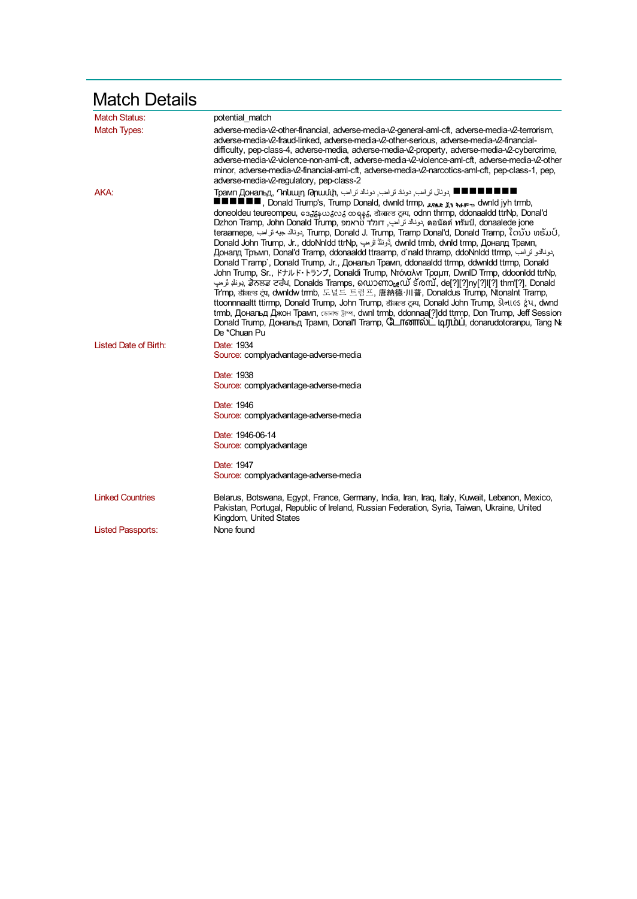| <b>Match Details</b>     |                                                                                                                                                                                                                                                                                                                                                                                                                                                                                                                                                                                                                                                                                                                                                                                                                                                                                                                                                                                                                                                                                                                                                                                                                                                                                                                                                                                                                        |
|--------------------------|------------------------------------------------------------------------------------------------------------------------------------------------------------------------------------------------------------------------------------------------------------------------------------------------------------------------------------------------------------------------------------------------------------------------------------------------------------------------------------------------------------------------------------------------------------------------------------------------------------------------------------------------------------------------------------------------------------------------------------------------------------------------------------------------------------------------------------------------------------------------------------------------------------------------------------------------------------------------------------------------------------------------------------------------------------------------------------------------------------------------------------------------------------------------------------------------------------------------------------------------------------------------------------------------------------------------------------------------------------------------------------------------------------------------|
| <b>Match Status:</b>     | potential match                                                                                                                                                                                                                                                                                                                                                                                                                                                                                                                                                                                                                                                                                                                                                                                                                                                                                                                                                                                                                                                                                                                                                                                                                                                                                                                                                                                                        |
| <b>Match Types:</b>      | adverse-media-v2-other-financial, adverse-media-v2-general-aml-cft, adverse-media-v2-terrorism,<br>adverse-media-v2-fraud-linked, adverse-media-v2-other-serious, adverse-media-v2-financial-<br>difficulty, pep-class-4, adverse-media, adverse-media-v2-property, adverse-media-v2-cybercrime,<br>adverse-media-v2-violence-non-aml-cft, adverse-media-v2-violence-aml-cft, adverse-media-v2-other<br>minor, adverse-media-v2-financial-aml-cft, adverse-media-v2-narcotics-aml-cft, pep-class-1, pep,<br>adverse-media-v2-regulatory, pep-class-2                                                                                                                                                                                                                                                                                                                                                                                                                                                                                                                                                                                                                                                                                                                                                                                                                                                                   |
| AKA:                     | Грамп Дональд, Դnuայn Թnաuuի, بونال ترامب, دونالا ترامب, دونال ترامب, ШШШ<br><b>I III</b> , Donald Trump's, Trump Donald, dwnld trmp, <sub>Aftar</sub> <sub>X1 to</sub> r <sub>m</sub> , dwnld jyh trmb,<br>doneoldeu teureompeu, 63, 540, 500, 60 6 55, 37 ancs cau, odnn thrmp, ddonaaldd ttrNp, Donal'd<br>Dzhon Tramp, John Donald Trump, הونالد ترامپ, דונלד טראמפ, ดอนัลด์ ทรัมป์, donaalede jone<br>teraamepe, نونالا جيه ترامب Trump, Donald J. Trump, Tramp Donal'd, Donald Tramp, ໂດນັນ ທຣັມປ໌,<br>Donald John Trump, Jr., ddoNnldd ttrNp, جَزِئلاً تُرْمِب ,dwnld trmb, dvnld trmp, Доналд Трамп,<br>بدونالدو ترامب ,Доналд Тръмп, Donal'd Tramp, ddonaaldd ttraamp, d`nald thramp, ddoNnldd ttrmp<br>Donald Tramp`, Donald Trump, Jr., Дональл Трамп, ddonaaldd ttmp, ddwnldd ttmp, Donald<br>John Trump, Sr., ドナルド・トランプ, Donaldi Trump, Ντόναλντ Τραμπ, DwnID Trmp, ddoonIdd ttrNp,<br>ابونلا ئرمپ; ਡੇਨਲਡ ਟਰੰਪ, Donalds Tramps, ໑໙ກອັກກູເເນັ ຣັ $\alpha$ mັ, de[?][?]ny[?]ll[?] thrn'[?], Donald<br>Tr'mp, डॉलल्ड ट्रंप, dwnldw trmb, 도널드 트럼프, 唐納德·川普, Donaldus Trump, Ntonalnt Tramp,<br>ttoonnnaaltt ttirmp, Donald Trump, John Trump, डॉलल्ड ट्रम्प, Donald John Trump, डोनाटड ट्रंप, dwnd<br>trmb, Дональд Джон Трамп, сынты jim, dwnl trmb, ddonnaa[?]dd ttrmp, Don Trump, Jeff Session<br>Donald Trump, Дональд Трамп, Donal'l Tramp, С_ Пботпо )_ цлуш ), donarudotoranpu, Tang N.<br>De *Chuan Pu |
| Listed Date of Birth:    | Date: 1934<br>Source: complyadvantage-adverse-media                                                                                                                                                                                                                                                                                                                                                                                                                                                                                                                                                                                                                                                                                                                                                                                                                                                                                                                                                                                                                                                                                                                                                                                                                                                                                                                                                                    |
|                          | Date: 1938<br>Source: complyadvantage-adverse-media                                                                                                                                                                                                                                                                                                                                                                                                                                                                                                                                                                                                                                                                                                                                                                                                                                                                                                                                                                                                                                                                                                                                                                                                                                                                                                                                                                    |
|                          | Date: 1946<br>Source: complyadvantage-adverse-media                                                                                                                                                                                                                                                                                                                                                                                                                                                                                                                                                                                                                                                                                                                                                                                                                                                                                                                                                                                                                                                                                                                                                                                                                                                                                                                                                                    |
|                          | Date: 1946-06-14<br>Source: complyadvantage                                                                                                                                                                                                                                                                                                                                                                                                                                                                                                                                                                                                                                                                                                                                                                                                                                                                                                                                                                                                                                                                                                                                                                                                                                                                                                                                                                            |
|                          | Date: 1947<br>Source: complyadvantage-adverse-media                                                                                                                                                                                                                                                                                                                                                                                                                                                                                                                                                                                                                                                                                                                                                                                                                                                                                                                                                                                                                                                                                                                                                                                                                                                                                                                                                                    |
| <b>Linked Countries</b>  | Belarus, Botswana, Egypt, France, Germany, India, Iran, Iraq, Italy, Kuwait, Lebanon, Mexico,<br>Pakistan, Portugal, Republic of Ireland, Russian Federation, Syria, Taiwan, Ukraine, United<br>Kingdom, United States                                                                                                                                                                                                                                                                                                                                                                                                                                                                                                                                                                                                                                                                                                                                                                                                                                                                                                                                                                                                                                                                                                                                                                                                 |
| <b>Listed Passports:</b> | None found                                                                                                                                                                                                                                                                                                                                                                                                                                                                                                                                                                                                                                                                                                                                                                                                                                                                                                                                                                                                                                                                                                                                                                                                                                                                                                                                                                                                             |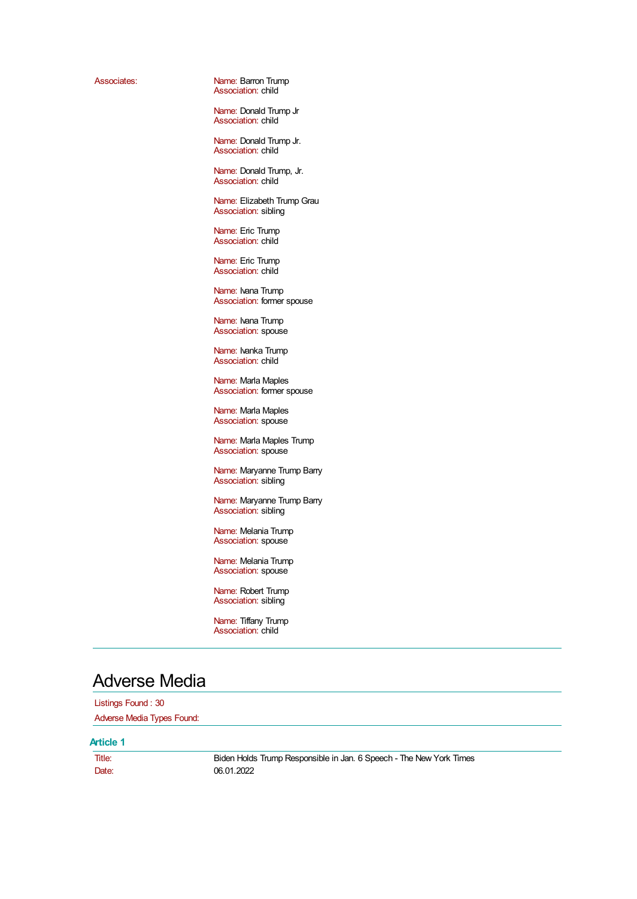Associates: Name: Barron Trump Association: child

> Name: Donald Trump Jr Association: child

> Name: Donald Trump Jr. Association: child

Name: Donald Trump, Jr. Association: child

Name: Elizabeth Trump Grau Association: sibling

Name: Eric Trump Association: child

Name: Eric Trump Association: child

Name: Ivana Trump Association: former spouse

Name: Ivana Trump Association: spouse

Name: Ivanka Trump Association: child

Name: Marla Maples Association: former spouse

Name: Marla Maples Association: spouse

Name: Marla Maples Trump Association: spouse

Name: Maryanne Trump Barry Association: sibling

Name: Maryanne Trump Barry Association: sibling

Name: Melania Trump Association: spouse

Name: Melania Trump Association: spouse

Name: Robert Trump Association: sibling

Name: Tiffany Trump Association: child

#### Adverse Media

Listings Found : 30 Adverse Media Types Found:

#### **Article 1**

Title: Biden Holds Trump Responsible in Jan. 6 Speech - The New York Times Date: 06.01.2022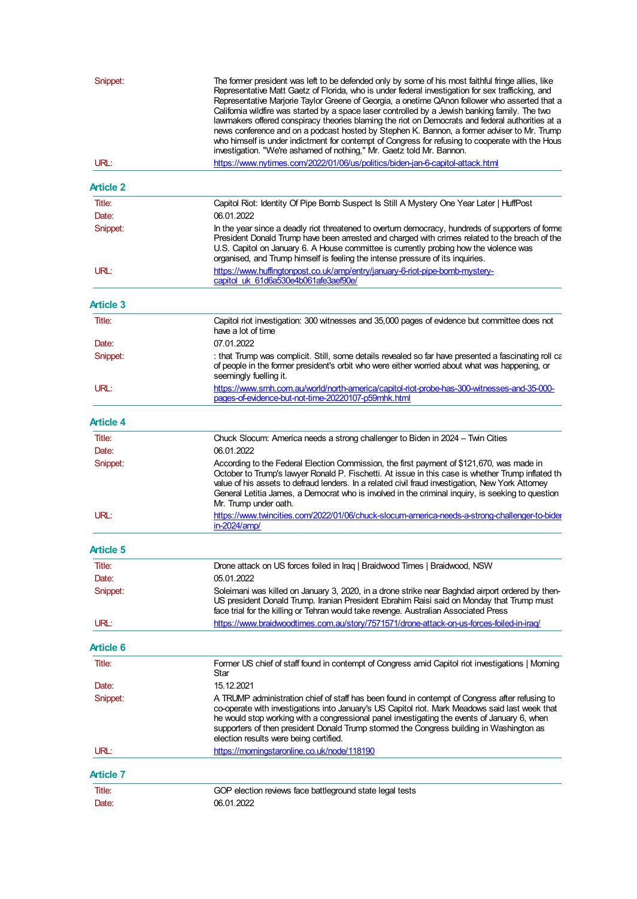| Snippet:         | The former president was left to be defended only by some of his most faithful fringe allies, like<br>Representative Matt Gaetz of Florida, who is under federal investigation for sex trafficking, and<br>Representative Marjorie Taylor Greene of Georgia, a onetime QAnon follower who asserted that a<br>California wildfire was started by a space laser controlled by a Jewish banking family. The two<br>lawmakers offered conspiracy theories blaming the riot on Democrats and federal authorities at a<br>news conference and on a podcast hosted by Stephen K. Bannon, a former adviser to Mr. Trump<br>who himself is under indictment for contempt of Congress for refusing to cooperate with the Hous |  |
|------------------|---------------------------------------------------------------------------------------------------------------------------------------------------------------------------------------------------------------------------------------------------------------------------------------------------------------------------------------------------------------------------------------------------------------------------------------------------------------------------------------------------------------------------------------------------------------------------------------------------------------------------------------------------------------------------------------------------------------------|--|
| URL:             | investigation. "We're ashamed of nothing," Mr. Gaetz told Mr. Bannon.<br>https://www.nytimes.com/2022/01/06/us/politics/biden-jan-6-capitol-attack.html                                                                                                                                                                                                                                                                                                                                                                                                                                                                                                                                                             |  |
| <b>Article 2</b> |                                                                                                                                                                                                                                                                                                                                                                                                                                                                                                                                                                                                                                                                                                                     |  |
| Title:           | Capitol Riot: Identity Of Pipe Bomb Suspect Is Still A Mystery One Year Later   HuffPost                                                                                                                                                                                                                                                                                                                                                                                                                                                                                                                                                                                                                            |  |
| Date:            | 06.01.2022                                                                                                                                                                                                                                                                                                                                                                                                                                                                                                                                                                                                                                                                                                          |  |
| Snippet:         | In the year since a deadly riot threatened to overturn democracy, hundreds of supporters of forme<br>President Donald Trump have been arrested and charged with crimes related to the breach of the<br>U.S. Capitol on January 6. A House committee is currently probing how the violence was<br>organised, and Trump himself is feeling the intense pressure of its inquiries.                                                                                                                                                                                                                                                                                                                                     |  |
| URL:             | https://www.huffingtonpost.co.uk/amp/entry/january-6-riot-pipe-bomb-mystery-<br>capitol uk 61d6a530e4b061afe3aef90e/                                                                                                                                                                                                                                                                                                                                                                                                                                                                                                                                                                                                |  |
| <b>Article 3</b> |                                                                                                                                                                                                                                                                                                                                                                                                                                                                                                                                                                                                                                                                                                                     |  |
| Title:           | Capitol riot investigation: 300 witnesses and 35,000 pages of evidence but committee does not<br>have a lot of time                                                                                                                                                                                                                                                                                                                                                                                                                                                                                                                                                                                                 |  |
| Date:            | 07.01.2022                                                                                                                                                                                                                                                                                                                                                                                                                                                                                                                                                                                                                                                                                                          |  |
| Snippet:         | that Trump was complicit. Still, some details revealed so far have presented a fascinating roll ca<br>of people in the former president's orbit who were either worried about what was happening, or<br>seemingly fuelling it.                                                                                                                                                                                                                                                                                                                                                                                                                                                                                      |  |
| URL:             | https://www.smh.com.au/world/north-america/capitol-riot-probe-has-300-witnesses-and-35-000-<br>pages-of-evidence-but-not-time-20220107-p59mhk.html                                                                                                                                                                                                                                                                                                                                                                                                                                                                                                                                                                  |  |
| <b>Article 4</b> |                                                                                                                                                                                                                                                                                                                                                                                                                                                                                                                                                                                                                                                                                                                     |  |
| Title:           | Chuck Slocum: America needs a strong challenger to Biden in 2024 - Twin Cities                                                                                                                                                                                                                                                                                                                                                                                                                                                                                                                                                                                                                                      |  |
| Date:            | 06.01.2022                                                                                                                                                                                                                                                                                                                                                                                                                                                                                                                                                                                                                                                                                                          |  |
| Snippet:         | According to the Federal Election Commission, the first payment of \$121,670, was made in<br>October to Trump's lawyer Ronald P. Fischetti. At issue in this case is whether Trump inflated th<br>value of his assets to defraud lenders. In a related civil fraud investigation, New York Attorney<br>General Letitia James, a Democrat who is involved in the criminal inquiry, is seeking to question<br>Mr. Trump under oath.                                                                                                                                                                                                                                                                                   |  |
| URL:             | https://www.twincities.com/2022/01/06/chuck-slocum-america-needs-a-strong-challenger-to-bider<br>in-2024/amp/                                                                                                                                                                                                                                                                                                                                                                                                                                                                                                                                                                                                       |  |
| Article 5        |                                                                                                                                                                                                                                                                                                                                                                                                                                                                                                                                                                                                                                                                                                                     |  |
| Title:           | Drone attack on US forces foiled in Iraq   Braidwood Times   Braidwood, NSW                                                                                                                                                                                                                                                                                                                                                                                                                                                                                                                                                                                                                                         |  |
| Date:            | 05.01.2022                                                                                                                                                                                                                                                                                                                                                                                                                                                                                                                                                                                                                                                                                                          |  |
| Snippet:         | Soleimani was killed on January 3, 2020, in a drone strike near Baghdad airport ordered by then-<br>US president Donald Trump. Iranian President Ebrahim Raisi said on Monday that Trump must<br>face trial for the killing or Tehran would take revenge. Australian Associated Press                                                                                                                                                                                                                                                                                                                                                                                                                               |  |
| URL:             | https://www.braidwoodtimes.com.au/story/7571571/drone-attack-on-us-forces-foiled-in-iraq/                                                                                                                                                                                                                                                                                                                                                                                                                                                                                                                                                                                                                           |  |
| Article 6        |                                                                                                                                                                                                                                                                                                                                                                                                                                                                                                                                                                                                                                                                                                                     |  |
| Title:           | Former US chief of staff found in contempt of Congress amid Capitol riot investigations   Morning<br>Star                                                                                                                                                                                                                                                                                                                                                                                                                                                                                                                                                                                                           |  |
| Date:            | 15.12.2021                                                                                                                                                                                                                                                                                                                                                                                                                                                                                                                                                                                                                                                                                                          |  |
| Snippet:         | A TRUMP administration chief of staff has been found in contempt of Congress after refusing to<br>co-operate with investigations into January's US Capitol riot. Mark Meadows said last week that<br>he would stop working with a congressional panel investigating the events of January 6, when<br>supporters of then president Donald Trump stormed the Congress building in Washington as<br>election results were being certified.                                                                                                                                                                                                                                                                             |  |
| URL:             | https://morningstaronline.co.uk/node/118190                                                                                                                                                                                                                                                                                                                                                                                                                                                                                                                                                                                                                                                                         |  |
| <b>Article 7</b> |                                                                                                                                                                                                                                                                                                                                                                                                                                                                                                                                                                                                                                                                                                                     |  |
| Title:<br>Date:  | GOP election reviews face battleground state legal tests<br>06.01.2022                                                                                                                                                                                                                                                                                                                                                                                                                                                                                                                                                                                                                                              |  |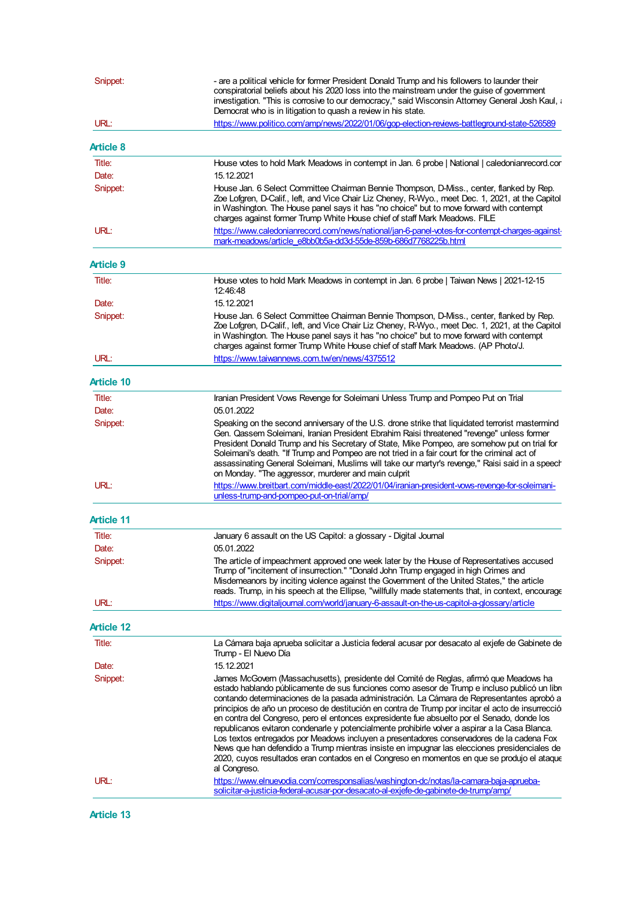| Snippet:          | - are a political vehicle for former President Donald Trump and his followers to launder their<br>conspiratorial beliefs about his 2020 loss into the mainstream under the guise of government<br>investigation. "This is corrosive to our democracy," said Wisconsin Attorney General Josh Kaul, a<br>Democrat who is in litigation to quash a review in his state.                                                                                                                                                                                                                                                                                                                                                                                                                                                                                                                     |  |
|-------------------|------------------------------------------------------------------------------------------------------------------------------------------------------------------------------------------------------------------------------------------------------------------------------------------------------------------------------------------------------------------------------------------------------------------------------------------------------------------------------------------------------------------------------------------------------------------------------------------------------------------------------------------------------------------------------------------------------------------------------------------------------------------------------------------------------------------------------------------------------------------------------------------|--|
| URL:              | https://www.politico.com/amp/news/2022/01/06/gop-election-reviews-battleground-state-526589                                                                                                                                                                                                                                                                                                                                                                                                                                                                                                                                                                                                                                                                                                                                                                                              |  |
| <b>Article 8</b>  |                                                                                                                                                                                                                                                                                                                                                                                                                                                                                                                                                                                                                                                                                                                                                                                                                                                                                          |  |
| Title:            | House votes to hold Mark Meadows in contempt in Jan. 6 probe   National   caledonianrecord.cor                                                                                                                                                                                                                                                                                                                                                                                                                                                                                                                                                                                                                                                                                                                                                                                           |  |
| Date:             | 15.12.2021                                                                                                                                                                                                                                                                                                                                                                                                                                                                                                                                                                                                                                                                                                                                                                                                                                                                               |  |
| Snippet:          | House Jan. 6 Select Committee Chairman Bennie Thompson, D-Miss., center, flanked by Rep.<br>Zoe Lofgren, D-Calif., left, and Vice Chair Liz Cheney, R-Wyo., meet Dec. 1, 2021, at the Capitol<br>in Washington. The House panel says it has "no choice" but to move forward with contempt<br>charges against former Trump White House chief of staff Mark Meadows. FILE                                                                                                                                                                                                                                                                                                                                                                                                                                                                                                                  |  |
| URL:              | https://www.caledonianrecord.com/news/national/jan-6-panel-votes-for-contempt-charges-against-<br>mark-meadows/article_e8bb0b5a-dd3d-55de-859b-686d7768225b.html                                                                                                                                                                                                                                                                                                                                                                                                                                                                                                                                                                                                                                                                                                                         |  |
| <b>Article 9</b>  |                                                                                                                                                                                                                                                                                                                                                                                                                                                                                                                                                                                                                                                                                                                                                                                                                                                                                          |  |
| Title:            | House votes to hold Mark Meadows in contempt in Jan. 6 probe   Taiwan News   2021-12-15<br>12:46:48                                                                                                                                                                                                                                                                                                                                                                                                                                                                                                                                                                                                                                                                                                                                                                                      |  |
| Date:             | 15.12.2021                                                                                                                                                                                                                                                                                                                                                                                                                                                                                                                                                                                                                                                                                                                                                                                                                                                                               |  |
| Snippet:          | House Jan. 6 Select Committee Chairman Bennie Thompson, D-Miss., center, flanked by Rep.<br>Zoe Lofgren, D-Calif., left, and Vice Chair Liz Cheney, R-Wyo., meet Dec. 1, 2021, at the Capitol<br>in Washington. The House panel says it has "no choice" but to move forward with contempt<br>charges against former Trump White House chief of staff Mark Meadows. (AP Photo/J.                                                                                                                                                                                                                                                                                                                                                                                                                                                                                                          |  |
| URL:              | https://www.taiwannews.com.tw/en/news/4375512                                                                                                                                                                                                                                                                                                                                                                                                                                                                                                                                                                                                                                                                                                                                                                                                                                            |  |
| Article 10        |                                                                                                                                                                                                                                                                                                                                                                                                                                                                                                                                                                                                                                                                                                                                                                                                                                                                                          |  |
| Title:            | Iranian President Vows Revenge for Soleimani Unless Trump and Pompeo Put on Trial                                                                                                                                                                                                                                                                                                                                                                                                                                                                                                                                                                                                                                                                                                                                                                                                        |  |
| Date:             | 05.01.2022                                                                                                                                                                                                                                                                                                                                                                                                                                                                                                                                                                                                                                                                                                                                                                                                                                                                               |  |
| Snippet:          | Speaking on the second anniversary of the U.S. drone strike that liquidated terrorist mastermind<br>Gen. Qassem Soleimani, Iranian President Ebrahim Raisi threatened "revenge" unless former<br>President Donald Trump and his Secretary of State, Mike Pompeo, are somehow put on trial for<br>Soleimani's death. "If Trump and Pompeo are not tried in a fair court for the criminal act of<br>assassinating General Soleimani, Muslims will take our martyr's revenge," Raisi said in a speech<br>on Monday. "The aggressor, murderer and main culprit                                                                                                                                                                                                                                                                                                                               |  |
| URL:              | https://www.breitbart.com/middle-east/2022/01/04/iranian-president-vows-revenge-for-soleimani-<br>unless-trump-and-pompeo-put-on-trial/amp/                                                                                                                                                                                                                                                                                                                                                                                                                                                                                                                                                                                                                                                                                                                                              |  |
| <b>Article 11</b> |                                                                                                                                                                                                                                                                                                                                                                                                                                                                                                                                                                                                                                                                                                                                                                                                                                                                                          |  |
| Title:            | January 6 assault on the US Capitol: a glossary - Digital Journal                                                                                                                                                                                                                                                                                                                                                                                                                                                                                                                                                                                                                                                                                                                                                                                                                        |  |
| Date:             |                                                                                                                                                                                                                                                                                                                                                                                                                                                                                                                                                                                                                                                                                                                                                                                                                                                                                          |  |
| Snippet:          | 05.01.2022<br>The article of impeachment approved one week later by the House of Representatives accused<br>Trump of "incitement of insurrection." "Donald John Trump engaged in high Crimes and<br>Misdemeanors by inciting violence against the Government of the United States," the article<br>reads. Trump, in his speech at the Ellipse, "willfully made statements that, in context, encourage                                                                                                                                                                                                                                                                                                                                                                                                                                                                                    |  |
| URL:              | https://www.digitaljournal.com/world/january-6-assault-on-the-us-capitol-a-glossary/article                                                                                                                                                                                                                                                                                                                                                                                                                                                                                                                                                                                                                                                                                                                                                                                              |  |
| <b>Article 12</b> |                                                                                                                                                                                                                                                                                                                                                                                                                                                                                                                                                                                                                                                                                                                                                                                                                                                                                          |  |
| Title:            | La Cámara baja aprueba solicitar a Justicia federal acusar por desacato al exjefe de Gabinete de<br>Trump - El Nuevo Día                                                                                                                                                                                                                                                                                                                                                                                                                                                                                                                                                                                                                                                                                                                                                                 |  |
| Date:             | 15.12.2021                                                                                                                                                                                                                                                                                                                                                                                                                                                                                                                                                                                                                                                                                                                                                                                                                                                                               |  |
| Snippet:          | James McGovern (Massachusetts), presidente del Comité de Reglas, afirmó que Meadows ha<br>estado hablando públicamente de sus funciones como asesor de Trump e incluso publicó un libro<br>contando determinaciones de la pasada administración. La Cámara de Representantes aprobó a<br>principios de año un proceso de destitución en contra de Trump por incitar el acto de insurrecció<br>en contra del Congreso, pero el entonces expresidente fue absuelto por el Senado, donde los<br>republicanos evitaron condenarle y potencialmente prohibirle volver a aspirar a la Casa Blanca.<br>Los textos entregados por Meadows incluyen a presentadores conservadores de la cadena Fox<br>News que han defendido a Trump mientras insiste en impugnar las elecciones presidenciales de<br>2020, cuyos resultados eran contados en el Congreso en momentos en que se produjo el ataque |  |
| URL:              | al Congreso.<br>https://www.elnuevodia.com/corresponsalias/washington-dc/notas/la-camara-baja-aprueba-<br>solicitar-a-justicia-federal-acusar-por-desacato-al-exjefe-de-gabinete-de-trump/amp/                                                                                                                                                                                                                                                                                                                                                                                                                                                                                                                                                                                                                                                                                           |  |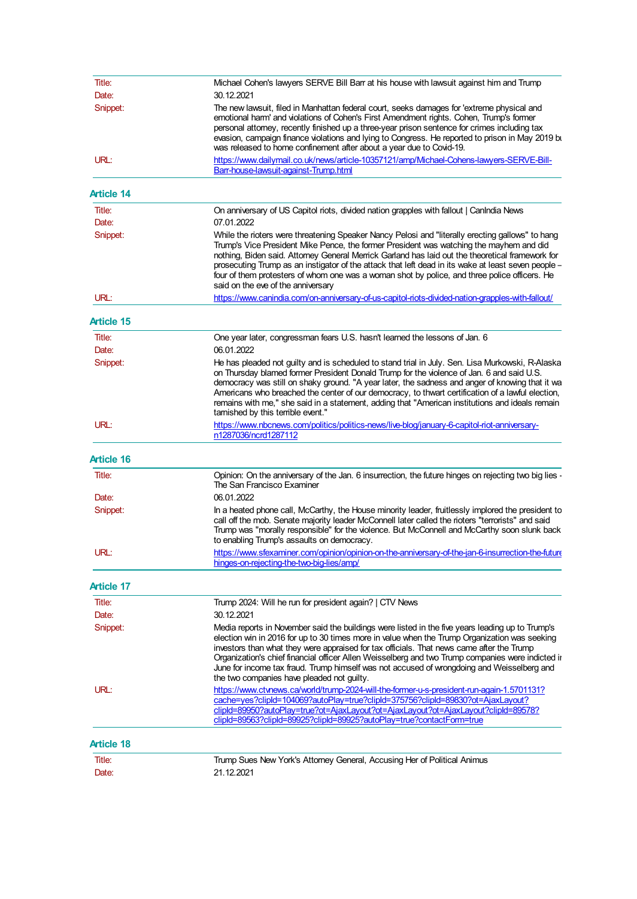| Title:            | Michael Cohen's lawyers SERVE Bill Barr at his house with lawsuit against him and Trump                                                                                                                                                                                                                                                                                                                                                                                                                                                       |  |  |
|-------------------|-----------------------------------------------------------------------------------------------------------------------------------------------------------------------------------------------------------------------------------------------------------------------------------------------------------------------------------------------------------------------------------------------------------------------------------------------------------------------------------------------------------------------------------------------|--|--|
| Date:             | 30.12.2021                                                                                                                                                                                                                                                                                                                                                                                                                                                                                                                                    |  |  |
| Snippet:          | The new lawsuit, filed in Manhattan federal court, seeks damages for 'extreme physical and<br>emotional harm' and violations of Cohen's First Amendment rights. Cohen, Trump's former<br>personal attorney, recently finished up a three-year prison sentence for crimes including tax<br>evasion, campaign finance violations and lying to Congress. He reported to prison in May 2019 bu<br>was released to home confinement after about a year due to Covid-19.                                                                            |  |  |
| URL:              | https://www.dailymail.co.uk/news/article-10357121/amp/Michael-Cohens-lawyers-SERVE-Bill-<br>Barr-house-lawsuit-against-Trump.html                                                                                                                                                                                                                                                                                                                                                                                                             |  |  |
| <b>Article 14</b> |                                                                                                                                                                                                                                                                                                                                                                                                                                                                                                                                               |  |  |
| Title:            | On anniversary of US Capitol riots, divided nation grapples with fallout   Canindia News                                                                                                                                                                                                                                                                                                                                                                                                                                                      |  |  |
| Date:             | 07.01.2022                                                                                                                                                                                                                                                                                                                                                                                                                                                                                                                                    |  |  |
| Snippet:          | While the rioters were threatening Speaker Nancy Pelosi and "literally erecting gallows" to hang<br>Trump's Vice President Mike Pence, the former President was watching the mayhem and did<br>nothing, Biden said. Attomey General Merrick Garland has laid out the theoretical framework for<br>prosecuting Trump as an instigator of the attack that left dead in its wake at least seven people -<br>four of them protesters of whom one was a woman shot by police, and three police officers. He<br>said on the eve of the anniversary  |  |  |
| URL:              | https://www.canindia.com/on-anniversary-of-us-capitol-riots-divided-nation-grapples-with-fallout/                                                                                                                                                                                                                                                                                                                                                                                                                                             |  |  |
| <b>Article 15</b> |                                                                                                                                                                                                                                                                                                                                                                                                                                                                                                                                               |  |  |
| Title:            | One year later, congressman fears U.S. hasn't learned the lessons of Jan. 6                                                                                                                                                                                                                                                                                                                                                                                                                                                                   |  |  |
| Date:             | 06.01.2022                                                                                                                                                                                                                                                                                                                                                                                                                                                                                                                                    |  |  |
| Snippet:          | He has pleaded not guilty and is scheduled to stand trial in July. Sen. Lisa Murkowski, R-Alaska<br>on Thursday blamed former President Donald Trump for the violence of Jan. 6 and said U.S.<br>democracy was still on shaky ground. "A year later, the sadness and anger of knowing that it wa<br>Americans who breached the center of our democracy, to thwart certification of a lawful election,<br>remains with me," she said in a statement, adding that "American institutions and ideals remain<br>tamished by this terrible event." |  |  |
| URL:              | https://www.nbcnews.com/politics/politics-news/live-blog/january-6-capitol-riot-anniversary-<br>n1287036/ncrd1287112                                                                                                                                                                                                                                                                                                                                                                                                                          |  |  |
| <b>Article 16</b> |                                                                                                                                                                                                                                                                                                                                                                                                                                                                                                                                               |  |  |
| Title:            | Opinion: On the anniversary of the Jan. 6 insurrection, the future hinges on rejecting two big lies -<br>The San Francisco Examiner                                                                                                                                                                                                                                                                                                                                                                                                           |  |  |
| Date:             | 06.01.2022                                                                                                                                                                                                                                                                                                                                                                                                                                                                                                                                    |  |  |
| Snippet:          | In a heated phone call, McCarthy, the House minority leader, fruitlessly implored the president to<br>call off the mob. Senate majority leader McConnell later called the rioters "terrorists" and said<br>Trump was "morally responsible" for the violence. But McConnell and McCarthy soon slunk back<br>to enabling Trump's assaults on democracy.                                                                                                                                                                                         |  |  |
| URL:              | https://www.sfexaminer.com/opinion/opinion-on-the-anniversarv-of-the-ian-6-insurrection-the-future<br>hinges-on-rejecting-the-two-big-lies/amp/                                                                                                                                                                                                                                                                                                                                                                                               |  |  |
| Article 17        |                                                                                                                                                                                                                                                                                                                                                                                                                                                                                                                                               |  |  |
| Title:            | Trump 2024: Will he run for president again?   CTV News                                                                                                                                                                                                                                                                                                                                                                                                                                                                                       |  |  |
| Date:             | 30.12.2021                                                                                                                                                                                                                                                                                                                                                                                                                                                                                                                                    |  |  |
| Snippet:          | Media reports in November said the buildings were listed in the five years leading up to Trump's<br>election win in 2016 for up to 30 times more in value when the Trump Organization was seeking<br>investors than what they were appraised for tax officials. That news came after the Trump<br>Organization's chief financial officer Allen Weisselberg and two Trump companies were indicted ir<br>June for income tax fraud. Trump himself was not accused of wrongdoing and Weisselberg and                                             |  |  |
| URL:              | the two companies have pleaded not guilty.<br>https://www.ctvnews.ca/world/trump-2024-will-the-former-u-s-president-run-again-1.5701131?<br>cache=yes?clipId=104069?autoPlay=true?clipId=375756?clipId=89830?ot=AjaxLayout?<br>clipld=89950?autoPlay=true?ot=AjaxLayout?ot=AjaxLayout?ot=AjaxLayout?clipld=89578?<br>clipId=89563?clipId=89925?clipId=89925?autoPlay=true?contactForm=true                                                                                                                                                    |  |  |
| <b>Article 18</b> |                                                                                                                                                                                                                                                                                                                                                                                                                                                                                                                                               |  |  |
| Title:            | Trump Sues New York's Attorney General, Accusing Her of Political Animus                                                                                                                                                                                                                                                                                                                                                                                                                                                                      |  |  |
| Date:             | 21.12.2021                                                                                                                                                                                                                                                                                                                                                                                                                                                                                                                                    |  |  |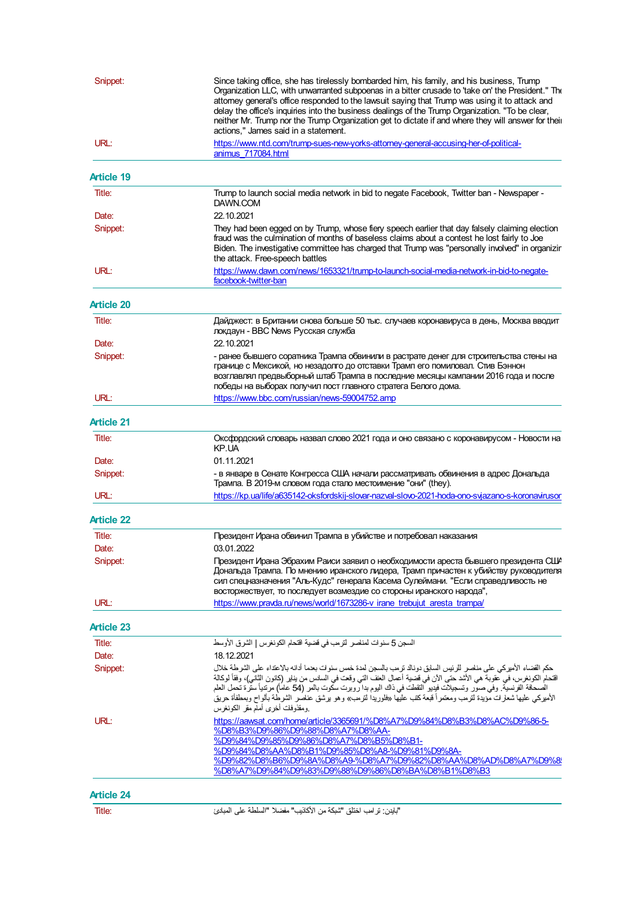| Snippet:          | Since taking office, she has tirelessly bombarded him, his family, and his business, Trump<br>Organization LLC, with unwarranted subpoenas in a bitter crusade to 'take on' the President." The<br>attorney general's office responded to the lawsuit saying that Trump was using it to attack and<br>delay the office's inquiries into the business dealings of the Trump Organization. "To be clear,<br>neither Mr. Trump nor the Trump Organization get to dictate if and where they will answer for their<br>actions," James said in a statement. |  |
|-------------------|-------------------------------------------------------------------------------------------------------------------------------------------------------------------------------------------------------------------------------------------------------------------------------------------------------------------------------------------------------------------------------------------------------------------------------------------------------------------------------------------------------------------------------------------------------|--|
| URL:              | https://www.ntd.com/trump-sues-new-yorks-attorney-general-accusing-her-of-political-<br>animus 717084.html                                                                                                                                                                                                                                                                                                                                                                                                                                            |  |
| <b>Article 19</b> |                                                                                                                                                                                                                                                                                                                                                                                                                                                                                                                                                       |  |
| Title:            | Trump to launch social media network in bid to negate Facebook, Twitter ban - Newspaper -<br>DAWN.COM                                                                                                                                                                                                                                                                                                                                                                                                                                                 |  |
| Date:             | 22.10.2021                                                                                                                                                                                                                                                                                                                                                                                                                                                                                                                                            |  |
| Snippet:          | They had been egged on by Trump, whose fiery speech earlier that day falsely claiming election<br>fraud was the culmination of months of baseless claims about a contest he lost fairly to Joe<br>Biden. The investigative committee has charged that Trump was "personally involved" in organizir<br>the attack. Free-speech battles                                                                                                                                                                                                                 |  |
| URL:              | https://www.dawn.com/news/1653321/trump-to-launch-social-media-network-in-bid-to-negate-<br>facebook-twitter-ban                                                                                                                                                                                                                                                                                                                                                                                                                                      |  |
| <b>Article 20</b> |                                                                                                                                                                                                                                                                                                                                                                                                                                                                                                                                                       |  |
| Title:            | Дайджест: в Британии снова больше 50 тыс. случаев коронавируса в день, Москва вводит<br>локдаун - BBC News Русская служба                                                                                                                                                                                                                                                                                                                                                                                                                             |  |
| Date:             | 22.10.2021                                                                                                                                                                                                                                                                                                                                                                                                                                                                                                                                            |  |
| Snippet:          | - ранее бывшего соратника Трампа обвинили в растрате денег для строительства стены на<br>границе с Мексикой, но незадолго до отставки Трамп его помиловал. Стив Бэннон<br>возглавлял предвыборный штаб Трампа в последние месяцы кампании 2016 года и после<br>победы на выборах получил пост главного стратега Белого дома.                                                                                                                                                                                                                          |  |
| URL:              | https://www.bbc.com/russian/news-59004752.amp                                                                                                                                                                                                                                                                                                                                                                                                                                                                                                         |  |
| <b>Article 21</b> |                                                                                                                                                                                                                                                                                                                                                                                                                                                                                                                                                       |  |
| Title:            | Оксфордский словарь назвал слово 2021 года и оно связано с коронавирусом - Новости на<br>KP.UA                                                                                                                                                                                                                                                                                                                                                                                                                                                        |  |
| Date:             | 01.11.2021                                                                                                                                                                                                                                                                                                                                                                                                                                                                                                                                            |  |
| Snippet:          | - в январе в Сенате Конгресса США начали рассматривать обвинения в адрес Дональда<br>Трампа. В 2019-м словом года стало местоимение "они" (they).                                                                                                                                                                                                                                                                                                                                                                                                     |  |
| URL:              | https://kp.ua/life/a635142-oksfordskij-slovar-nazval-slovo-2021-hoda-ono-svjazano-s-koronavirusor                                                                                                                                                                                                                                                                                                                                                                                                                                                     |  |
| <b>Article 22</b> |                                                                                                                                                                                                                                                                                                                                                                                                                                                                                                                                                       |  |
| Title:            | Президент Ирана обвинил Трампа в убийстве и потребовал наказания                                                                                                                                                                                                                                                                                                                                                                                                                                                                                      |  |
| Date:             | 03.01.2022                                                                                                                                                                                                                                                                                                                                                                                                                                                                                                                                            |  |
| Snippet:          | Президент Ирана Эбрахим Раиси заявил о необходимости ареста бывшего президента США<br>Дональда Трампа. По мнению иранского лидера, Трамп причастен к убийству руководителя<br>сил спецназначения "Аль-Кудс" генерала Касема Сулеймани. "Если справедливость не<br>восторжествует, то последует возмездие со стороны иранского народа",                                                                                                                                                                                                                |  |
| URL:              | https://www.pravda.ru/news/world/1673286-v irane trebujut aresta trampa/                                                                                                                                                                                                                                                                                                                                                                                                                                                                              |  |
| <b>Article 23</b> |                                                                                                                                                                                                                                                                                                                                                                                                                                                                                                                                                       |  |
| Title:            | السجن 5 سنوات لمناصر لتزمب في فضية اقتحام الكونغرس   الشرق الأوسط                                                                                                                                                                                                                                                                                                                                                                                                                                                                                     |  |
| Date:             | 18.12.2021                                                                                                                                                                                                                                                                                                                                                                                                                                                                                                                                            |  |
| Snippet:          | حكم القضاء الأميركي على مناصر للرئيس السابق دونالد ترمب بالسجن لمدة خمس سنوات بعنما أدانه بالاعتداء على الشرطة خلال<br>لقتحام الكونغرس، في عقوبة هي الأشد حتى الآن في قضية أعمال العف التي وقعت في السلس من يناير (كانون الثاني)، وفقاً لوكالة<br>الصحافة الفرنسية. وفي صوَّر وتسجيلات فيديو التقطت في ذاك اليوم بدا روبرت سكوت بالمر (54 عاماً) مرتدياً ستَّرة تحمل العلم<br>الأميركي عليها شعارات مَوْيدة لترمب ومعتمراً قبعة كتب عليها «فلوريدا لترمب» وهو برشق عنصو الشرطة بألواح وبمطفأة حريق<br>ومقذوفك أخرى أمام مقر الكونغرس                  |  |
| URL:              | https://aawsat.com/home/article/3365691/%D8%A7%D9%84%D8%B3%D8%AC%D9%86-5-<br>%D8%B3%D9%86%D9%88%D8%A7%D8%AA-<br>%D9%84%D9%85%D9%86%D8%A7%D8%B5%D8%B1-<br>%D9%84%D8%AA%D8%B1%D9%85%D8%A8-%D9%81%D9%8A-<br>%D9%82%D8%B6%D9%8A%D8%A9-%D8%A7%D9%82%D8%AA%D8%AD%D8%A7%D9%8<br>%D8%A7%D9%84%D9%83%D9%88%D9%86%D8%BA%D8%B1%D8%B3                                                                                                                                                                                                                             |  |
| <b>Article 24</b> |                                                                                                                                                                                                                                                                                                                                                                                                                                                                                                                                                       |  |
| Title:            | "باين: ترامب اختلق "شبكة من الأكلايب" مفضلا "السلطة على المبلائ                                                                                                                                                                                                                                                                                                                                                                                                                                                                                       |  |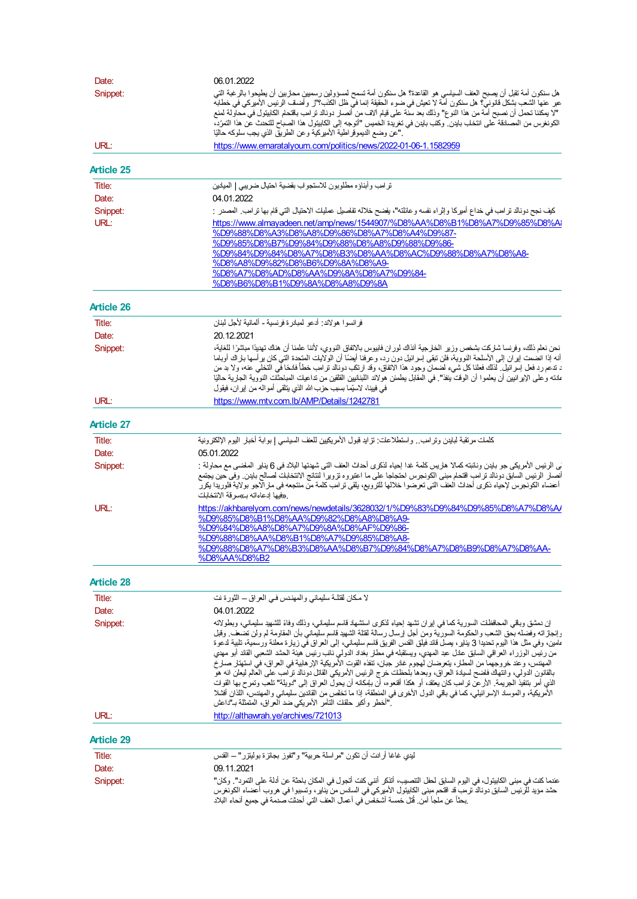| Snippet:                                                                                                                                     | هل سنكون أمة تقبل أن يصبح العنف السياسي هو القاعد؟؟ هل سنكون أمة تسمح لمسؤولين رسميين محاربين أن يطيحوا بالرغبة التي                                                                                                                                                                                                                                                                                                                                                                                                                                                                   |  |
|----------------------------------------------------------------------------------------------------------------------------------------------|----------------------------------------------------------------------------------------------------------------------------------------------------------------------------------------------------------------------------------------------------------------------------------------------------------------------------------------------------------------------------------------------------------------------------------------------------------------------------------------------------------------------------------------------------------------------------------------|--|
|                                                                                                                                              |                                                                                                                                                                                                                                                                                                                                                                                                                                                                                                                                                                                        |  |
|                                                                                                                                              | عبر عنها الشعب بشكل قانونيٌّ؟ هل سنكون أمّة لا تعيش في ضوء الحقيقة إنما فيّ ظل الكلب؟"ز وأضلف الرئيس الأميركى في خطابة                                                                                                                                                                                                                                                                                                                                                                                                                                                                 |  |
|                                                                                                                                              | "لا يمكننا تحمل أن نصبح أمَّة من هذا النوع" وذلك بعد سنَّة على قيام آلاف من أنصار دوناك ترامب باقتحام الكابيتول في محاولة لمنع                                                                                                                                                                                                                                                                                                                                                                                                                                                         |  |
|                                                                                                                                              | الكونغرس من المصلاقة على انتخلب باينن. وكتب باينن في تغريدة الخميس "أتوجه إلى الكابيتول هذا الصباح للتحنث عن هذا التمرّد،<br>."عن وضع الديموقر اطية الأميركية وعن الطريق الذي يجب سلوكه حاليًا                                                                                                                                                                                                                                                                                                                                                                                         |  |
| URL:                                                                                                                                         | https://www.emaratalyoum.com/politics/news/2022-01-06-1.1582959                                                                                                                                                                                                                                                                                                                                                                                                                                                                                                                        |  |
|                                                                                                                                              |                                                                                                                                                                                                                                                                                                                                                                                                                                                                                                                                                                                        |  |
| <b>Article 25</b>                                                                                                                            |                                                                                                                                                                                                                                                                                                                                                                                                                                                                                                                                                                                        |  |
| Title:                                                                                                                                       | ترامب وأبناؤه مطلوبون للاستجولب بقضية احتيال ضريبي   الميلاين                                                                                                                                                                                                                                                                                                                                                                                                                                                                                                                          |  |
| Date:                                                                                                                                        | 04.01.2022                                                                                                                                                                                                                                                                                                                                                                                                                                                                                                                                                                             |  |
| Snippet:                                                                                                                                     | كيف نجح دونالد ترامب في خداع أميركا وإثراء نفسه وعائلته"، يفضح خلاله تفلصيل عمليك الاحتيال التي قلم بها ترامب المصدر :                                                                                                                                                                                                                                                                                                                                                                                                                                                                 |  |
| URL:                                                                                                                                         | https://www.almayadeen.net/amp/news/1544907/%D8%AA%D8%B1%D8%A7%D9%85%D8%Ai                                                                                                                                                                                                                                                                                                                                                                                                                                                                                                             |  |
|                                                                                                                                              | %D9%88%D8%A3%D8%A8%D9%86%D8%A7%D8%A4%D9%87-<br>%D9%85%D8%B7%D9%84%D9%88%D8%A8%D9%88%D9%86-                                                                                                                                                                                                                                                                                                                                                                                                                                                                                             |  |
|                                                                                                                                              | %D9%84%D9%84%D8%A7%D8%B3%D8%AA%D8%AC%D9%88%D8%A7%D8%A8-                                                                                                                                                                                                                                                                                                                                                                                                                                                                                                                                |  |
|                                                                                                                                              | %D8%A8%D9%82%D8%B6%D9%8A%D8%A9-                                                                                                                                                                                                                                                                                                                                                                                                                                                                                                                                                        |  |
|                                                                                                                                              | %D8%A7%D8%AD%D8%AA%D9%8A%D8%A7%D9%84-                                                                                                                                                                                                                                                                                                                                                                                                                                                                                                                                                  |  |
|                                                                                                                                              | %D8%B6%D8%B1%D9%8A%D8%A8%D9%8A                                                                                                                                                                                                                                                                                                                                                                                                                                                                                                                                                         |  |
| <b>Article 26</b>                                                                                                                            |                                                                                                                                                                                                                                                                                                                                                                                                                                                                                                                                                                                        |  |
| Title:                                                                                                                                       | فر انسو ا هو لاند: أدعو المبلار ة فر نسبة – ألمانية لأجل لبنان                                                                                                                                                                                                                                                                                                                                                                                                                                                                                                                         |  |
| Date:                                                                                                                                        | 20.12.2021                                                                                                                                                                                                                                                                                                                                                                                                                                                                                                                                                                             |  |
| Snippet:                                                                                                                                     | نحن نعلم ذلك، وفرنسا شلركت بشخص وزير الخلرجية آنذاك لوران فابيوس بالاتفاق النووي، لأننا علمنا أن هنك تهديدًا مباشرًا للغاية،                                                                                                                                                                                                                                                                                                                                                                                                                                                           |  |
|                                                                                                                                              | أنه إذا انضمت ايران إلى الأسلحة النووية، فلن تنقى إسرائيل دون رد، وعرفنا أيضًا أن الولايك المتحدة التي كان برأسها بلراك أوباما                                                                                                                                                                                                                                                                                                                                                                                                                                                         |  |
|                                                                                                                                              | د تدعم رد فعل إسرائيل. لذلك فعلنا كل شيء لضمان وجود هذا الاتفاق، وقد ارتكب دونالد ترامب خطأ فادحًا في التخلي عنه، ولا بد من                                                                                                                                                                                                                                                                                                                                                                                                                                                            |  |
|                                                                                                                                              | علنه وعلى الإبرانيين أن يعلموا أن الوقت ينفل" في المقابل يطمئن هولاند اللبنانيين القلقين من نداعيك المباحثك النووية الجارية حاليًا<br>في فيينا، لاستِما بسبب حزب الله الذي ينلقي أمواله من ايران، فيقول                                                                                                                                                                                                                                                                                                                                                                                |  |
| URL:                                                                                                                                         | https://www.mtv.com.lb/AMP/Details/1242781                                                                                                                                                                                                                                                                                                                                                                                                                                                                                                                                             |  |
|                                                                                                                                              |                                                                                                                                                                                                                                                                                                                                                                                                                                                                                                                                                                                        |  |
| <b>Article 27</b>                                                                                                                            |                                                                                                                                                                                                                                                                                                                                                                                                                                                                                                                                                                                        |  |
| Title:                                                                                                                                       | كلملت مرتقبة لبايدن وترامب فواستطلاعلت: نزايد قبول الأمريكيين للعف السياسي   بوابة أخبل اليوم الإلكترونية                                                                                                                                                                                                                                                                                                                                                                                                                                                                              |  |
| Date:                                                                                                                                        | 05.01.2022                                                                                                                                                                                                                                                                                                                                                                                                                                                                                                                                                                             |  |
| ني الرئيس الأمريكي جو باينن ونائبته كمالا هاريس كلمة غدا إحياء لنكرى أحداث العف التي شهنتها البلاد في 6 يناير الملضى مع محاولة :<br>Snippet: |                                                                                                                                                                                                                                                                                                                                                                                                                                                                                                                                                                                        |  |
|                                                                                                                                              | أنصلر الرئيس السابق دونالد ترامب اقتحام مبنى الكونجرس احتجاجا على ما اعتبروه نزويوا لنتائج الانتخابك لصالح باينن وفي حين يجتمع<br>أعضاء الكونجرس لإحياء ذكري أحداث العف التي تعرضوا خلالها للترويع، يلقي ترامب كلمة من منتجعه في ملر الاجو بولاية فلوريدا يكرر                                                                                                                                                                                                                                                                                                                         |  |
|                                                                                                                                              | _«فيها ادعاءاته بـ»سو قة الانتخابات                                                                                                                                                                                                                                                                                                                                                                                                                                                                                                                                                    |  |
| URL:                                                                                                                                         | https://akhbarelyom.com/news/newdetails/3628032/1/%D9%83%D9%84%D9%85%D8%A7%D8%A/                                                                                                                                                                                                                                                                                                                                                                                                                                                                                                       |  |
|                                                                                                                                              | %D9%85%D8%B1%D8%AA%D9%82%D8%A8%D8%A9-                                                                                                                                                                                                                                                                                                                                                                                                                                                                                                                                                  |  |
|                                                                                                                                              | %D9%84%D8%A8%D8%A7%D9%8A%D8%AF%D9%86-                                                                                                                                                                                                                                                                                                                                                                                                                                                                                                                                                  |  |
|                                                                                                                                              | %D9%88%D8%AA%D8%B1%D8%A7%D9%85%D8%A8-<br>%D9%88%D8%A7%D8%B3%D8%AA%D8%B7%D9%84%D8%A7%D8%B9%D8%A7%D8%AA-                                                                                                                                                                                                                                                                                                                                                                                                                                                                                 |  |
|                                                                                                                                              | %D8%AA%D8%B2                                                                                                                                                                                                                                                                                                                                                                                                                                                                                                                                                                           |  |
| <b>Article 28</b>                                                                                                                            |                                                                                                                                                                                                                                                                                                                                                                                                                                                                                                                                                                                        |  |
| Title:                                                                                                                                       | لا مكان لقتلـة سليماني والمهنـدس فـي العراق – الثورة نت                                                                                                                                                                                                                                                                                                                                                                                                                                                                                                                                |  |
| Date:                                                                                                                                        | 04.01.2022                                                                                                                                                                                                                                                                                                                                                                                                                                                                                                                                                                             |  |
| Snippet:                                                                                                                                     | إن دمشق وباقي المحافظك السورية كما في إيران تشهد إحياء لذكرى استشهاد قاسم سليماني، وذلك وفاءً للشهيد سليماني، وبطولاته                                                                                                                                                                                                                                                                                                                                                                                                                                                                 |  |
|                                                                                                                                              | وإنجازاته وفضله بحق الشعب والحكومة السورية ومن أجل لرسال رسالة لقتلة الشهيد قلسم سليماني بأن المقاومة لم ولن تضعف وقبل                                                                                                                                                                                                                                                                                                                                                                                                                                                                 |  |
|                                                                                                                                              | ملمين، وفي مثل هذا اليوم تحديدا 3 ينابر، يصل قائد فيلق القس الفريق قاسم سليماني، إلى العراق فَي زيلرة معلنة ورسمية، تلبية لدعوة                                                                                                                                                                                                                                                                                                                                                                                                                                                        |  |
|                                                                                                                                              | من رئيس الوزراء العراقي السلبق علنل عبد المهدي، ويستقبله في مطل بغداد الدولي نائب رئيس هيئة الحشد الشعبي القائد أبو مهدي                                                                                                                                                                                                                                                                                                                                                                                                                                                               |  |
|                                                                                                                                              |                                                                                                                                                                                                                                                                                                                                                                                                                                                                                                                                                                                        |  |
|                                                                                                                                              |                                                                                                                                                                                                                                                                                                                                                                                                                                                                                                                                                                                        |  |
|                                                                                                                                              |                                                                                                                                                                                                                                                                                                                                                                                                                                                                                                                                                                                        |  |
|                                                                                                                                              |                                                                                                                                                                                                                                                                                                                                                                                                                                                                                                                                                                                        |  |
|                                                                                                                                              | المهندس، وعند خروجهما من المطلر، يتعرضان لهجوم غلار جبان، تنفذه القوت الأمريكية الإر هابية في العراق، في استهتل صلرخ<br>بالقانون الدولمي، وانتهاك فلضح لسيلدة العراق، وبعدها بُلحظت خرج الرئيس الأمريكي القاتل دونالد تراّمب على العالم ليعلن انه هوّ<br>الذي أمر بتتفيذ الجريمة. الأرعن نرامب كان يعتقد، أو هكذا أقنعوه، أن بلهكانه أن يحول العراق إلى "دويلة" نلعب وتمرح بها القوات<br>الأمريكية، والموسلا الإسرائيلي، كما في باقي الدول الأخرى في المنطقة، إذا ما تخلص من القائدين سليماني والمهندس، اللذان أفشلا<br>."أخطر وأكبر حلقلت التآمر الأمريكي ضد العراق، المتمثلة بـ"داعش |  |
| URL:                                                                                                                                         | http://althawrah.ve/archives/721013                                                                                                                                                                                                                                                                                                                                                                                                                                                                                                                                                    |  |
|                                                                                                                                              |                                                                                                                                                                                                                                                                                                                                                                                                                                                                                                                                                                                        |  |
| <b>Article 29</b><br>Title:                                                                                                                  | ليدي غاغا أرانت أن نكون "مراسلة حربية" و"تفوز بجائزة بوليتزر" ــ القس                                                                                                                                                                                                                                                                                                                                                                                                                                                                                                                  |  |
| Date:                                                                                                                                        | 09.11.2021                                                                                                                                                                                                                                                                                                                                                                                                                                                                                                                                                                             |  |
| Snippet:                                                                                                                                     | عنما كلت في مبنى الكابيتول، في اليوم السابق لحفل التنصيب، أتذكر أنني كنت أتجول في المكان بلحثة عن أدلة على التمرد". وكان"                                                                                                                                                                                                                                                                                                                                                                                                                                                              |  |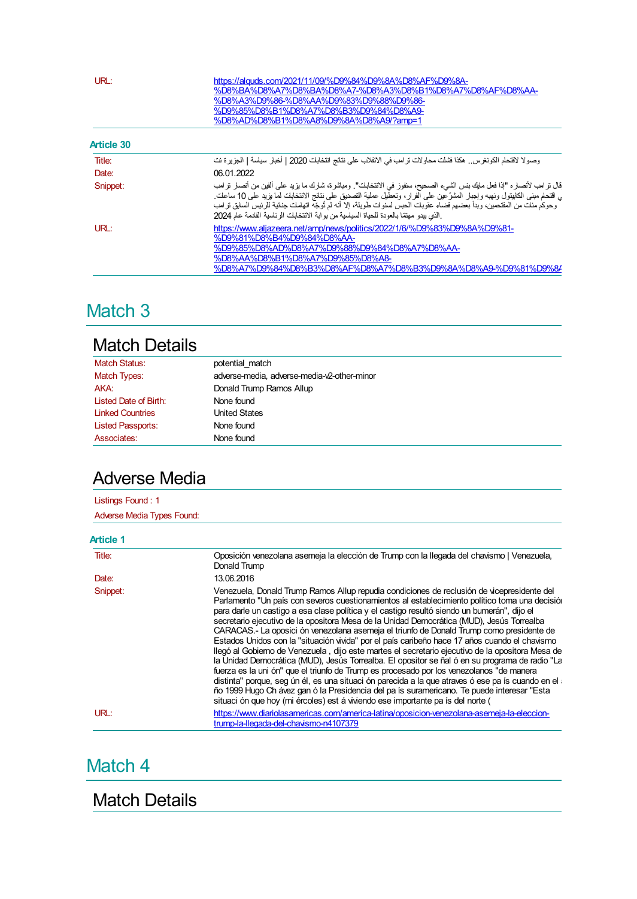| URL:       | https://alguds.com/2021/11/09/%D9%84%D9%8A%D8%AF%D9%8A-<br>%D8%BA%D8%A7%D8%BA%D8%A7-%D8%A3%D8%B1%D8%A7%D8%AF%D8%AA-<br>%D8%A3%D9%86-%D8%AA%D9%83%D9%88%D9%86-<br>%D9%85%D8%B1%D8%A7%D8%B3%D9%84%D8%A9-<br>%D8%AD%D8%B1%D8%A8%D9%8A%D8%A9/?amp=1                                                                                                                                                                                                                               |  |
|------------|-------------------------------------------------------------------------------------------------------------------------------------------------------------------------------------------------------------------------------------------------------------------------------------------------------------------------------------------------------------------------------------------------------------------------------------------------------------------------------|--|
| Article 30 |                                                                                                                                                                                                                                                                                                                                                                                                                                                                               |  |
| Title:     | وصولا لاقتحام الكونغرس هكذا فشلت محاولات تر امب في الانقلاب على نتائج انتخابك 2020   أخبار سياسة   الجزير ة نت                                                                                                                                                                                                                                                                                                                                                                |  |
| Date:      | 06.01.2022                                                                                                                                                                                                                                                                                                                                                                                                                                                                    |  |
| Snippet:   | قال ترامب لأنصلره "إذا فعل مايك بنس الشيء الصحيح، سنفوز في الانتخابات". ومباشرة، شلرك ما بزيد على ألفين من أنصلر نرامب<br>، اقتحام مبنى الكابيتول ونهبه وإجبار المشرِّعين على الفرار، وتعطيل عملية التصديق على نتائج الانتخابات لما بزيد على 10 ساعات.<br>وحوكم منلت من المقتحمين، وبدأ بعضهم قضاء عقوبلت الحبس لسنوات طويلة، إلا أنه لم تُوجّه اتهاملت جنائية للرئيس السابق نرامب<br>.الذي يبدو مهتمّا بالعودة للحياة السياسية من بوابة الانتخابات الرئاسية القائمة عام 2024 |  |
| URL:       | https://www.aljazeera.net/amp/news/politics/2022/1/6/%D9%83%D9%8A%D9%81-<br>%D9%81%D8%B4%D9%84%D8%AA-<br>%D9%85%D8%AD%D8%A7%D9%88%D9%84%D8%A7%D8%AA-<br>%D8%AA%D8%B1%D8%A7%D9%85%D8%A8-<br>%D8%A7%D9%84%D8%B3%D8%AF%D8%A7%D8%B3%D9%8A%D8%A9-%D9%81%D9%8/                                                                                                                                                                                                                      |  |

## Match 3

#### Match Details

| <b>Match Status:</b>     | potential match                             |
|--------------------------|---------------------------------------------|
| Match Types:             | adverse-media, adverse-media-v2-other-minor |
| AKA:                     | Donald Trump Ramos Allup                    |
| Listed Date of Birth:    | None found                                  |
| <b>Linked Countries</b>  | <b>United States</b>                        |
| <b>Listed Passports:</b> | None found                                  |
| Associates:              | None found                                  |

## Adverse Media

| Listings Found: 1          |  |
|----------------------------|--|
| Adverse Media Types Found: |  |

| . .<br>۰.<br>v<br>v<br>٠<br>$\mathcal{L}$ |  |
|-------------------------------------------|--|
|-------------------------------------------|--|

| Title:   | Oposición venezolana asemeja la elección de Trump con la llegada del chavismo   Venezuela,<br>Donald Trump                                                                                                                                                                                                                                                                                                                                                                                                                                                                                                                                                                                                                                                                                                                                                                                                                                                                                                                                                                                                                                                                   |
|----------|------------------------------------------------------------------------------------------------------------------------------------------------------------------------------------------------------------------------------------------------------------------------------------------------------------------------------------------------------------------------------------------------------------------------------------------------------------------------------------------------------------------------------------------------------------------------------------------------------------------------------------------------------------------------------------------------------------------------------------------------------------------------------------------------------------------------------------------------------------------------------------------------------------------------------------------------------------------------------------------------------------------------------------------------------------------------------------------------------------------------------------------------------------------------------|
| Date:    | 13.06.2016                                                                                                                                                                                                                                                                                                                                                                                                                                                                                                                                                                                                                                                                                                                                                                                                                                                                                                                                                                                                                                                                                                                                                                   |
| Snippet: | Venezuela, Donald Trump Ramos Allup repudia condiciones de reclusión de vicepresidente del<br>Parlamento "Un país con severos cuestionamientos al establecimiento político toma una decisión<br>para darle un castigo a esa clase política y el castigo resultó siendo un bumerán", dijo el<br>secretario ejecutivo de la opositora Mesa de la Unidad Democrática (MUD), Jesús Torrealba<br>CARACAS.- La oposici ón venezolana asemeja el triunfo de Donald Trump como presidente de<br>Estados Unidos con la "situación vivida" por el país caribeño hace 17 años cuando el chavismo<br>Ilegó al Gobierno de Venezuela, dijo este martes el secretario ejecutivo de la opositora Mesa de<br>la Unidad Democrática (MUD), Jesús Torrealba. El opositor se ñal ó en su programa de radio "La<br>fuerza es la uni ón" que el triunfo de Trump es procesado por los venezolanos "de manera<br>distinta" porque, seg ún él, es una situaci ón parecida a la que atraves ó ese pa ís cuando en el<br>ño 1999 Hugo Ch ávez gan ó la Presidencia del pa ís suramericano. Te puede interesar "Esta<br>situaci ón que hoy (mi ércoles) est á vivendo ese importante pa ís del norte ( |
| URL:     | https://www.diariolasamericas.com/america-latina/oposicion-venezolana-asemeja-la-eleccion-<br>trump-la-llegada-del-chavismo-n4107379                                                                                                                                                                                                                                                                                                                                                                                                                                                                                                                                                                                                                                                                                                                                                                                                                                                                                                                                                                                                                                         |

## Match 4

Match Details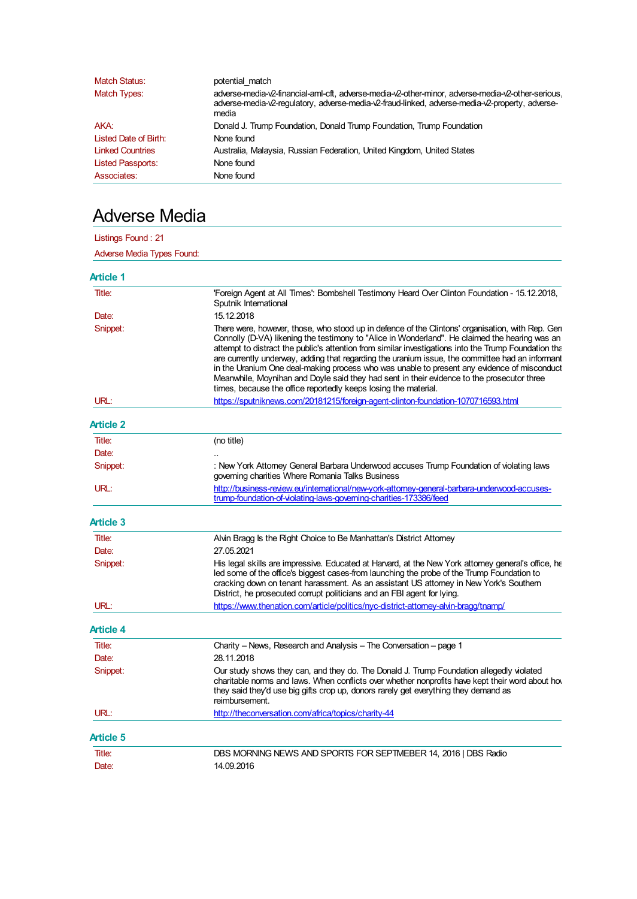| <b>Match Status:</b>     | potential match                                                                                                                                                                                               |
|--------------------------|---------------------------------------------------------------------------------------------------------------------------------------------------------------------------------------------------------------|
| Match Types:             | adverse-media-v2-financial-aml-cft, adverse-media-v2-other-minor, adverse-media-v2-other-serious.<br>adverse-media-v2-requlatory, adverse-media-v2-fraud-linked, adverse-media-v2-property, adverse-<br>media |
| AKA:                     | Donald J. Trump Foundation, Donald Trump Foundation, Trump Foundation                                                                                                                                         |
| Listed Date of Birth:    | None found                                                                                                                                                                                                    |
| <b>Linked Countries</b>  | Australia, Malaysia, Russian Federation, United Kingdom, United States                                                                                                                                        |
| <b>Listed Passports:</b> | None found                                                                                                                                                                                                    |
| Associates:              | None found                                                                                                                                                                                                    |

## Adverse Media

Listings Found : 21

| Adverse Media Types Found: |                                                                                                                                                                                                                                                                                                                                                                                                                                                                                                                                                                                                                                                                                |
|----------------------------|--------------------------------------------------------------------------------------------------------------------------------------------------------------------------------------------------------------------------------------------------------------------------------------------------------------------------------------------------------------------------------------------------------------------------------------------------------------------------------------------------------------------------------------------------------------------------------------------------------------------------------------------------------------------------------|
| <b>Article 1</b>           |                                                                                                                                                                                                                                                                                                                                                                                                                                                                                                                                                                                                                                                                                |
| Title:                     | 'Foreign Agent at All Times': Bombshell Testimony Heard Over Clinton Foundation - 15.12.2018.<br>Sputnik International                                                                                                                                                                                                                                                                                                                                                                                                                                                                                                                                                         |
| Date:                      | 15.12.2018                                                                                                                                                                                                                                                                                                                                                                                                                                                                                                                                                                                                                                                                     |
| Snippet:                   | There were, however, those, who stood up in defence of the Clintons' organisation, with Rep. Gen<br>Connolly (D-VA) likening the testimony to "Alice in Wonderland". He claimed the hearing was an<br>attempt to distract the public's attention from similar investigations into the Trump Foundation that<br>are currently underway, adding that regarding the uranium issue, the committee had an informant<br>in the Uranium One deal-making process who was unable to present any evidence of misconduct<br>Meanwhile, Moynihan and Doyle said they had sent in their evidence to the prosecutor three<br>times, because the office reportedly keeps losing the material. |
| URL:                       | https://sputniknews.com/20181215/foreign-agent-clinton-foundation-1070716593.html                                                                                                                                                                                                                                                                                                                                                                                                                                                                                                                                                                                              |
| Article 2                  |                                                                                                                                                                                                                                                                                                                                                                                                                                                                                                                                                                                                                                                                                |
| Title:                     | (no title)                                                                                                                                                                                                                                                                                                                                                                                                                                                                                                                                                                                                                                                                     |
| Date:                      |                                                                                                                                                                                                                                                                                                                                                                                                                                                                                                                                                                                                                                                                                |
| Snippet:                   | : New York Attorney General Barbara Underwood accuses Trump Foundation of violating laws<br>governing charities Where Romania Talks Business                                                                                                                                                                                                                                                                                                                                                                                                                                                                                                                                   |
| URL:                       | http://business-review.eu/international/new-york-attorney-general-barbara-underwood-accuses-<br>trump-foundation-of-violating-laws-governing-charities-173386/feed                                                                                                                                                                                                                                                                                                                                                                                                                                                                                                             |
| <b>Article 3</b>           |                                                                                                                                                                                                                                                                                                                                                                                                                                                                                                                                                                                                                                                                                |
| Title:                     | Alvin Bragg Is the Right Choice to Be Manhattan's District Attorney                                                                                                                                                                                                                                                                                                                                                                                                                                                                                                                                                                                                            |
| Date:                      | 27.05.2021                                                                                                                                                                                                                                                                                                                                                                                                                                                                                                                                                                                                                                                                     |
| Snippet:                   | His legal skills are impressive. Educated at Harvard, at the New York attorney general's office, he<br>led some of the office's biggest cases-from launching the probe of the Trump Foundation to<br>cracking down on tenant harassment. As an assistant US attorney in New York's Southern<br>District, he prosecuted corrupt politicians and an FBI agent for lying.                                                                                                                                                                                                                                                                                                         |
| URL:                       | https://www.thenation.com/article/politics/nyc-district-attorney-alvin-bragg/tnamp/                                                                                                                                                                                                                                                                                                                                                                                                                                                                                                                                                                                            |
| Article 4                  |                                                                                                                                                                                                                                                                                                                                                                                                                                                                                                                                                                                                                                                                                |
| Title:                     | Charity - News, Research and Analysis - The Conversation - page 1                                                                                                                                                                                                                                                                                                                                                                                                                                                                                                                                                                                                              |
| Date:                      | 28.11.2018                                                                                                                                                                                                                                                                                                                                                                                                                                                                                                                                                                                                                                                                     |
| Snippet:                   | Our study shows they can, and they do. The Donald J. Trump Foundation allegedly violated<br>charitable norms and laws. When conflicts over whether nonprofits have kept their word about how<br>they said they'd use big gifts crop up, donors rarely get everything they demand as<br>reimbursement.                                                                                                                                                                                                                                                                                                                                                                          |
| URL:                       | http://theconversation.com/africa/topics/charity-44                                                                                                                                                                                                                                                                                                                                                                                                                                                                                                                                                                                                                            |
| Article 5                  |                                                                                                                                                                                                                                                                                                                                                                                                                                                                                                                                                                                                                                                                                |
| Title:                     | DBS MORNING NEWS AND SPORTS FOR SEPTMEBER 14, 2016   DBS Radio                                                                                                                                                                                                                                                                                                                                                                                                                                                                                                                                                                                                                 |
| Date:                      | 14.09.2016                                                                                                                                                                                                                                                                                                                                                                                                                                                                                                                                                                                                                                                                     |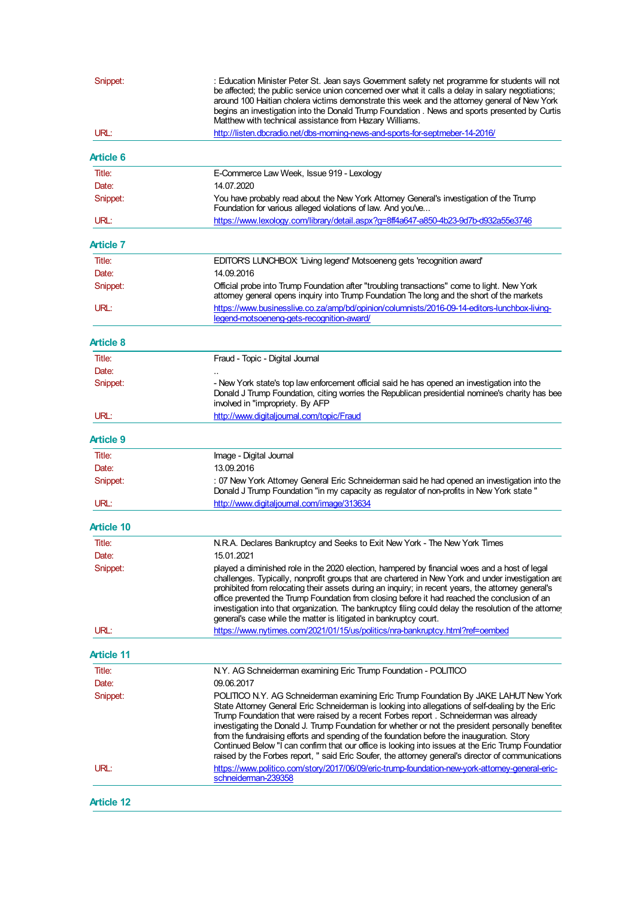| Snippet:          | : Education Minister Peter St. Jean says Government safety net programme for students will not<br>be affected; the public service union concerned over what it calls a delay in salary negotiations;<br>around 100 Haitian cholera victims demonstrate this week and the attorney general of New York<br>begins an investigation into the Donald Trump Foundation . News and sports presented by Curtis<br>Matthew with technical assistance from Hazary Williams.                                                                                                                                                                                                                                 |
|-------------------|----------------------------------------------------------------------------------------------------------------------------------------------------------------------------------------------------------------------------------------------------------------------------------------------------------------------------------------------------------------------------------------------------------------------------------------------------------------------------------------------------------------------------------------------------------------------------------------------------------------------------------------------------------------------------------------------------|
| URL:              | http://listen.dbcradio.net/dbs-morning-news-and-sports-for-septmeber-14-2016/                                                                                                                                                                                                                                                                                                                                                                                                                                                                                                                                                                                                                      |
| <b>Article 6</b>  |                                                                                                                                                                                                                                                                                                                                                                                                                                                                                                                                                                                                                                                                                                    |
| Title:            | E-Commerce Law Week, Issue 919 - Lexology                                                                                                                                                                                                                                                                                                                                                                                                                                                                                                                                                                                                                                                          |
| Date:             | 14.07.2020                                                                                                                                                                                                                                                                                                                                                                                                                                                                                                                                                                                                                                                                                         |
| Snippet:          | You have probably read about the New York Attorney General's investigation of the Trump<br>Foundation for various alleged violations of law. And you've                                                                                                                                                                                                                                                                                                                                                                                                                                                                                                                                            |
| URL:              | https://www.lexology.com/library/detail.aspx?g=8ff4a647-a850-4b23-9d7b-d932a55e3746                                                                                                                                                                                                                                                                                                                                                                                                                                                                                                                                                                                                                |
| Article 7         |                                                                                                                                                                                                                                                                                                                                                                                                                                                                                                                                                                                                                                                                                                    |
| Title:            | EDITOR'S LUNCHBOX: 'Living legend' Motsoeneng gets 'recognition award'                                                                                                                                                                                                                                                                                                                                                                                                                                                                                                                                                                                                                             |
| Date:             | 14.09.2016                                                                                                                                                                                                                                                                                                                                                                                                                                                                                                                                                                                                                                                                                         |
| Snippet:          | Official probe into Trump Foundation after "troubling transactions" come to light. New York<br>attorney general opens inquiry into Trump Foundation The long and the short of the markets                                                                                                                                                                                                                                                                                                                                                                                                                                                                                                          |
| URL:              | https://www.businesslive.co.za/amp/bd/opinion/columnists/2016-09-14-editors-lunchbox-living-<br>legend-motsoeneng-gets-recognition-award/                                                                                                                                                                                                                                                                                                                                                                                                                                                                                                                                                          |
|                   |                                                                                                                                                                                                                                                                                                                                                                                                                                                                                                                                                                                                                                                                                                    |
| Article 8         |                                                                                                                                                                                                                                                                                                                                                                                                                                                                                                                                                                                                                                                                                                    |
| Title:            | Fraud - Topic - Digital Journal                                                                                                                                                                                                                                                                                                                                                                                                                                                                                                                                                                                                                                                                    |
| Date:             |                                                                                                                                                                                                                                                                                                                                                                                                                                                                                                                                                                                                                                                                                                    |
| Snippet:          | - New York state's top law enforcement official said he has opened an investigation into the<br>Donald J Trump Foundation, citing worries the Republican presidential nominee's charity has bee<br>involved in "impropriety. By AFP                                                                                                                                                                                                                                                                                                                                                                                                                                                                |
| URL:              | http://www.digitaljournal.com/topic/Fraud                                                                                                                                                                                                                                                                                                                                                                                                                                                                                                                                                                                                                                                          |
| Article 9         |                                                                                                                                                                                                                                                                                                                                                                                                                                                                                                                                                                                                                                                                                                    |
| Title:            | Image - Digital Journal                                                                                                                                                                                                                                                                                                                                                                                                                                                                                                                                                                                                                                                                            |
| Date:             | 13.09.2016                                                                                                                                                                                                                                                                                                                                                                                                                                                                                                                                                                                                                                                                                         |
| Snippet:          | : 07 New York Attorney General Eric Schneiderman said he had opened an investigation into the<br>Donald J Trump Foundation "in my capacity as regulator of non-profits in New York state "                                                                                                                                                                                                                                                                                                                                                                                                                                                                                                         |
| URL:              | http://www.digitaljournal.com/image/313634                                                                                                                                                                                                                                                                                                                                                                                                                                                                                                                                                                                                                                                         |
| Article 10        |                                                                                                                                                                                                                                                                                                                                                                                                                                                                                                                                                                                                                                                                                                    |
| Title:            | N.R.A. Declares Bankruptcy and Seeks to Exit New York - The New York Times                                                                                                                                                                                                                                                                                                                                                                                                                                                                                                                                                                                                                         |
| Date:             | 15.01.2021                                                                                                                                                                                                                                                                                                                                                                                                                                                                                                                                                                                                                                                                                         |
| Snippet:          | played a diminished role in the 2020 election, hampered by financial woes and a host of legal<br>challenges. Typically, nonprofit groups that are chartered in New York and under investigation are<br>prohibited from relocating their assets during an inquiry; in recent years, the attorney general's<br>office prevented the Trump Foundation from closing before it had reached the conclusion of an<br>investigation into that organization. The bankruptcy filing could delay the resolution of the attorne<br>general's case while the matter is litigated in bankruptcy court.                                                                                                           |
| URL:              | https://www.nytimes.com/2021/01/15/us/politics/nra-bankruptcy.html?ref=oembed                                                                                                                                                                                                                                                                                                                                                                                                                                                                                                                                                                                                                      |
| <b>Article 11</b> |                                                                                                                                                                                                                                                                                                                                                                                                                                                                                                                                                                                                                                                                                                    |
| Title:            | N.Y. AG Schneiderman examining Eric Trump Foundation - POLITICO                                                                                                                                                                                                                                                                                                                                                                                                                                                                                                                                                                                                                                    |
| Date:             | 09.06.2017                                                                                                                                                                                                                                                                                                                                                                                                                                                                                                                                                                                                                                                                                         |
| Snippet:          | POLITICO N.Y. AG Schneiderman examining Eric Trump Foundation By JAKE LAHUT New York<br>State Attorney General Eric Schneiderman is looking into allegations of self-dealing by the Eric<br>Trump Foundation that were raised by a recent Forbes report . Schneiderman was already<br>investigating the Donald J. Trump Foundation for whether or not the president personally benefited<br>from the fundraising efforts and spending of the foundation before the inauguration. Story<br>Continued Below "I can confirm that our office is looking into issues at the Eric Trump Foundatior<br>raised by the Forbes report, " said Eric Soufer, the attorney general's director of communications |
| URL:              | https://www.politico.com/story/2017/06/09/eric-trump-foundation-new-york-attorney-general-eric-<br>schneiderman-239358                                                                                                                                                                                                                                                                                                                                                                                                                                                                                                                                                                             |
| <b>Article 12</b> |                                                                                                                                                                                                                                                                                                                                                                                                                                                                                                                                                                                                                                                                                                    |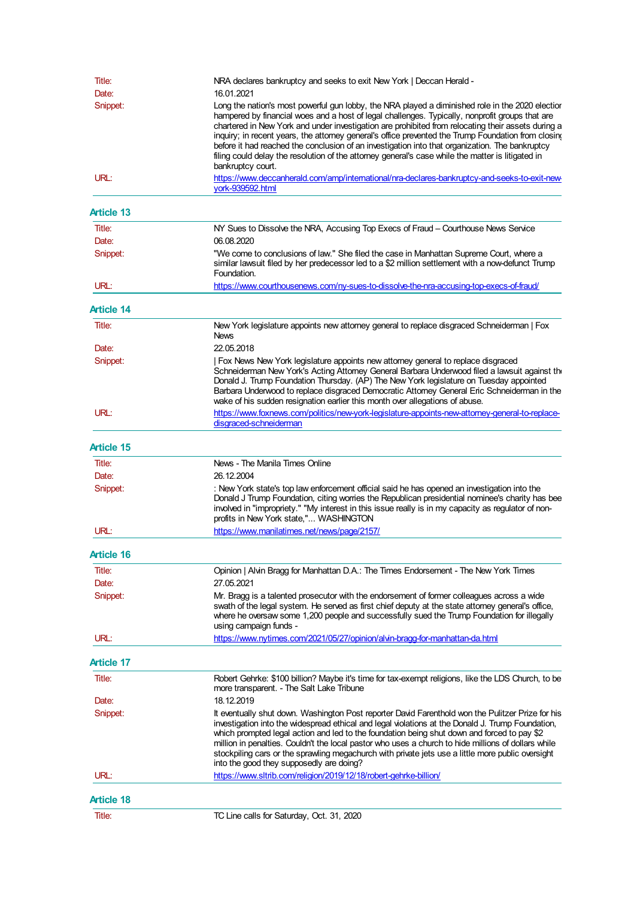| Title:            | NRA declares bankruptcy and seeks to exit New York   Deccan Herald -                                                                                                                                                                                                                                                                                                                                                                                                                                                                                                                                                                         |
|-------------------|----------------------------------------------------------------------------------------------------------------------------------------------------------------------------------------------------------------------------------------------------------------------------------------------------------------------------------------------------------------------------------------------------------------------------------------------------------------------------------------------------------------------------------------------------------------------------------------------------------------------------------------------|
| Date:             | 16.01.2021                                                                                                                                                                                                                                                                                                                                                                                                                                                                                                                                                                                                                                   |
| Snippet:          | Long the nation's most powerful gun lobby, the NRA played a diminished role in the 2020 electior<br>hampered by financial woes and a host of legal challenges. Typically, nonprofit groups that are<br>chartered in New York and under investigation are prohibited from relocating their assets during a<br>inquiry; in recent years, the attomey general's office prevented the Trump Foundation from closing<br>before it had reached the conclusion of an investigation into that organization. The bankruptcy<br>filing could delay the resolution of the attorney general's case while the matter is litigated in<br>bankruptcy court. |
| URL:              | https://www.deccanherald.com/amp/international/nra-declares-bankruptcy-and-seeks-to-exit-new-<br>vork-939592.html                                                                                                                                                                                                                                                                                                                                                                                                                                                                                                                            |
| <b>Article 13</b> |                                                                                                                                                                                                                                                                                                                                                                                                                                                                                                                                                                                                                                              |
| Title:            | NY Sues to Dissolve the NRA, Accusing Top Execs of Fraud - Courthouse News Service                                                                                                                                                                                                                                                                                                                                                                                                                                                                                                                                                           |
| Date:             | 06.08.2020                                                                                                                                                                                                                                                                                                                                                                                                                                                                                                                                                                                                                                   |
| Snippet:          | "We come to conclusions of law." She filed the case in Manhattan Supreme Court, where a<br>similar lawsuit filed by her predecessor led to a \$2 million settlement with a now-defunct Trump<br>Foundation.                                                                                                                                                                                                                                                                                                                                                                                                                                  |
| URL:              | https://www.courthousenews.com/ny-sues-to-dissolve-the-nra-accusing-top-execs-of-fraud/                                                                                                                                                                                                                                                                                                                                                                                                                                                                                                                                                      |
| <b>Article 14</b> |                                                                                                                                                                                                                                                                                                                                                                                                                                                                                                                                                                                                                                              |
| Title:            | New York legislature appoints new attorney general to replace disgraced Schneiderman   Fox<br><b>News</b>                                                                                                                                                                                                                                                                                                                                                                                                                                                                                                                                    |
| Date:             | 22.05.2018                                                                                                                                                                                                                                                                                                                                                                                                                                                                                                                                                                                                                                   |
| Snippet:          | Fox News New York legislature appoints new attorney general to replace disgraced<br>Schneiderman New York's Acting Attorney General Barbara Underwood filed a lawsuit against the<br>Donald J. Trump Foundation Thursday. (AP) The New York legislature on Tuesday appointed<br>Barbara Underwood to replace disgraced Democratic Attorney General Eric Schneiderman in the<br>wake of his sudden resignation earlier this month over allegations of abuse.                                                                                                                                                                                  |
| URL:              | https://www.foxnews.com/politics/new-york-legislature-appoints-new-attorney-general-to-replace-<br>disgraced-schneiderman                                                                                                                                                                                                                                                                                                                                                                                                                                                                                                                    |
|                   |                                                                                                                                                                                                                                                                                                                                                                                                                                                                                                                                                                                                                                              |
| <b>Article 15</b> |                                                                                                                                                                                                                                                                                                                                                                                                                                                                                                                                                                                                                                              |
| Title:            | News - The Manila Times Online                                                                                                                                                                                                                                                                                                                                                                                                                                                                                                                                                                                                               |
| Date:             | 26.12.2004                                                                                                                                                                                                                                                                                                                                                                                                                                                                                                                                                                                                                                   |
| Snippet:          | : New York state's top law enforcement official said he has opened an investigation into the<br>Donald J Trump Foundation, citing worries the Republican presidential nominee's charity has bee<br>involved in "impropriety." "My interest in this issue really is in my capacity as regulator of non-<br>profits in New York state," WASHINGTON                                                                                                                                                                                                                                                                                             |
| URL:              | https://www.manilatimes.net/news/page/2157/                                                                                                                                                                                                                                                                                                                                                                                                                                                                                                                                                                                                  |
| <b>Article 16</b> |                                                                                                                                                                                                                                                                                                                                                                                                                                                                                                                                                                                                                                              |
| Title:            | Opinion   Alvin Bragg for Manhattan D.A.: The Times Endorsement - The New York Times                                                                                                                                                                                                                                                                                                                                                                                                                                                                                                                                                         |
| Date:             | 27.05.2021                                                                                                                                                                                                                                                                                                                                                                                                                                                                                                                                                                                                                                   |
| Snippet:          | Mr. Bragg is a talented prosecutor with the endorsement of former colleagues across a wide<br>swath of the legal system. He served as first chief deputy at the state attorney general's office,<br>where he oversaw some 1,200 people and successfully sued the Trump Foundation for illegally<br>using campaign funds -                                                                                                                                                                                                                                                                                                                    |
| URL:              | https://www.nytimes.com/2021/05/27/opinion/alvin-bragg-for-manhattan-da.html                                                                                                                                                                                                                                                                                                                                                                                                                                                                                                                                                                 |
| <b>Article 17</b> |                                                                                                                                                                                                                                                                                                                                                                                                                                                                                                                                                                                                                                              |
| Title:            | Robert Gehrke: \$100 billion? Maybe it's time for tax-exempt religions, like the LDS Church, to be<br>more transparent. - The Salt Lake Tribune                                                                                                                                                                                                                                                                                                                                                                                                                                                                                              |
| Date:             | 18.12.2019                                                                                                                                                                                                                                                                                                                                                                                                                                                                                                                                                                                                                                   |
| Snippet:          | It eventually shut down. Washington Post reporter David Farenthold won the Pulitzer Prize for his<br>investigation into the widespread ethical and legal violations at the Donald J. Trump Foundation,<br>which prompted legal action and led to the foundation being shut down and forced to pay \$2<br>million in penalties. Couldn't the local pastor who uses a church to hide millions of dollars while<br>stockpiling cars or the sprawling megachurch with private jets use a little more public oversight<br>into the good they supposedly are doing?                                                                                |
| URL:              | https://www.sltrib.com/religion/2019/12/18/robert-gehrke-billion/                                                                                                                                                                                                                                                                                                                                                                                                                                                                                                                                                                            |
| <b>Article 18</b> |                                                                                                                                                                                                                                                                                                                                                                                                                                                                                                                                                                                                                                              |
| Title:            | TC Line calls for Saturday, Oct. 31, 2020                                                                                                                                                                                                                                                                                                                                                                                                                                                                                                                                                                                                    |
|                   |                                                                                                                                                                                                                                                                                                                                                                                                                                                                                                                                                                                                                                              |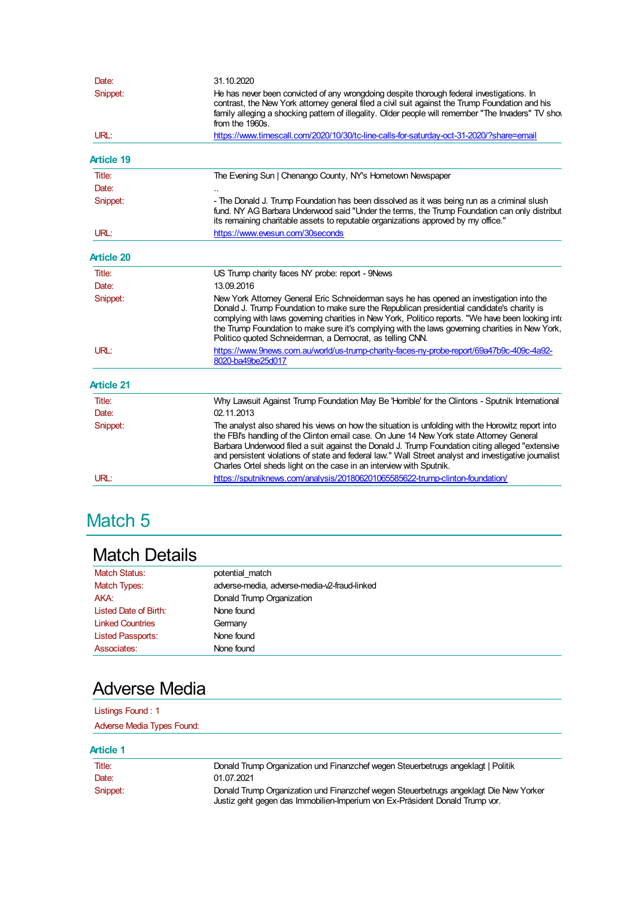| Date:             | 31.10.2020                                                                                                                                                                                                                                                                                                                                                                                                                                                                       |
|-------------------|----------------------------------------------------------------------------------------------------------------------------------------------------------------------------------------------------------------------------------------------------------------------------------------------------------------------------------------------------------------------------------------------------------------------------------------------------------------------------------|
| Snippet:          | He has never been convicted of any wrongdoing despite thorough federal investigations. In<br>contrast, the New York attomey general filed a civil suit against the Trump Foundation and his<br>family alleging a shocking pattern of illegality. Older people will remember "The Invaders" TV show<br>from the 1960s.                                                                                                                                                            |
| URL:              | https://www.timescall.com/2020/10/30/tc-line-calls-for-saturday-oct-31-2020/?share=email                                                                                                                                                                                                                                                                                                                                                                                         |
| <b>Article 19</b> |                                                                                                                                                                                                                                                                                                                                                                                                                                                                                  |
| Title:            | The Evening Sun   Chenango County, NY's Hometown Newspaper                                                                                                                                                                                                                                                                                                                                                                                                                       |
| Date:             |                                                                                                                                                                                                                                                                                                                                                                                                                                                                                  |
| Snippet:          | - The Donald J. Trump Foundation has been dissolved as it was being run as a criminal slush<br>fund. NY AG Barbara Underwood said "Under the terms, the Trump Foundation can only distribut<br>its remaining charitable assets to reputable organizations approved by my office."                                                                                                                                                                                                |
| URL:              | https://www.evesun.com/30seconds                                                                                                                                                                                                                                                                                                                                                                                                                                                 |
| <b>Article 20</b> |                                                                                                                                                                                                                                                                                                                                                                                                                                                                                  |
| Title:            | US Trump charity faces NY probe: report - 9News                                                                                                                                                                                                                                                                                                                                                                                                                                  |
| Date:             | 13.09.2016                                                                                                                                                                                                                                                                                                                                                                                                                                                                       |
| Snippet:          | New York Attorney General Eric Schneiderman says he has opened an investigation into the<br>Donald J. Trump Foundation to make sure the Republican presidential candidate's charity is<br>complying with laws governing charities in New York, Politico reports. "We have been looking into<br>the Trump Foundation to make sure it's complying with the laws governing charities in New York,<br>Politico quoted Schneiderman, a Democrat, as telling CNN.                      |
| URL:              | https://www.9news.com.au/world/us-trump-charity-faces-ny-probe-report/69a47b9c-409c-4a92-<br>8020-ba49be25d017                                                                                                                                                                                                                                                                                                                                                                   |
| <b>Article 21</b> |                                                                                                                                                                                                                                                                                                                                                                                                                                                                                  |
| Title:            | Why Lawsuit Against Trump Foundation May Be 'Horrible' for the Clintons - Sputnik International                                                                                                                                                                                                                                                                                                                                                                                  |
| Date:             | 02.11.2013                                                                                                                                                                                                                                                                                                                                                                                                                                                                       |
| Snippet:          | The analyst also shared his views on how the situation is unfolding with the Horowitz report into<br>the FBI's handling of the Clinton email case. On June 14 New York state Attorney General<br>Barbara Underwood filed a suit against the Donald J. Trump Foundation citing alleged "extensive<br>and persistent violations of state and federal law." Wall Street analyst and investigative journalist<br>Charles Ortel sheds light on the case in an interview with Sputnik. |
| URL:              | https://sputniknews.com/analysis/201806201065585622-trump-clinton-foundation/                                                                                                                                                                                                                                                                                                                                                                                                    |
|                   |                                                                                                                                                                                                                                                                                                                                                                                                                                                                                  |

# Match 5

## Match Details

| Match Status:            | potential match                              |
|--------------------------|----------------------------------------------|
| Match Types:             | adverse-media, adverse-media-v2-fraud-linked |
| AKA:                     | Donald Trump Organization                    |
| Listed Date of Birth:    | None found                                   |
| <b>Linked Countries</b>  | Germany                                      |
| <b>Listed Passports:</b> | None found                                   |
| Associates:              | None found                                   |

## Adverse Media

| Listings Found: 1          |                                                                                                                                                                       |
|----------------------------|-----------------------------------------------------------------------------------------------------------------------------------------------------------------------|
| Adverse Media Types Found: |                                                                                                                                                                       |
| Article 1                  |                                                                                                                                                                       |
| Title:                     | Donald Trump Organization und Finanzchef wegen Steuerbetrugs angeklagt   Politik                                                                                      |
| Date:                      | 01.07.2021                                                                                                                                                            |
| Snippet:                   | Donald Trump Organization und Finanzchef wegen Steuerbetrugs angeklagt Die New Yorker<br>Justiz geht gegen das Immobilien-Imperium von Ex-Präsident Donald Trump vor. |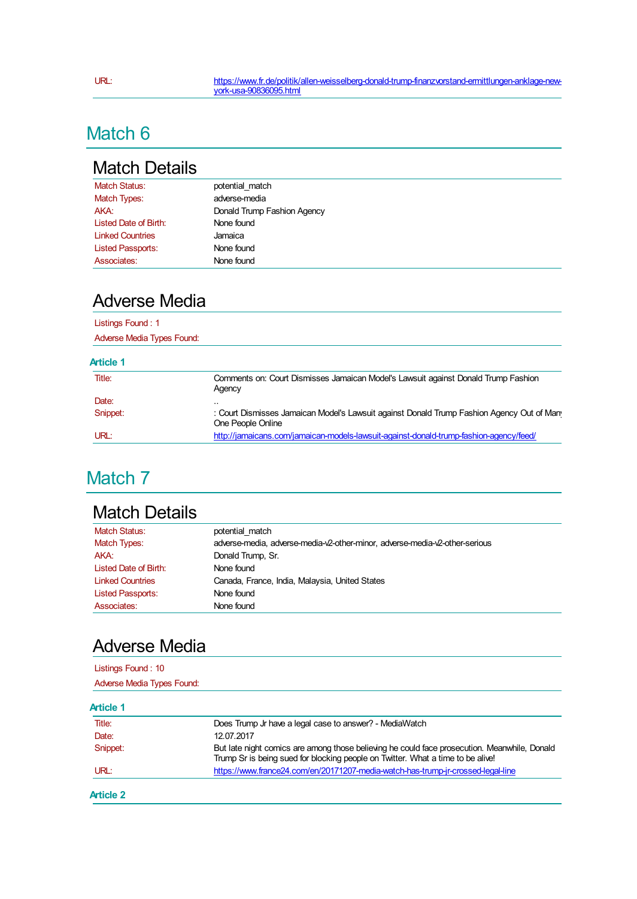# Match 6

### Match Details

| <b>Match Status:</b>     | potential match             |
|--------------------------|-----------------------------|
| Match Types:             | adverse-media               |
| AKA:                     | Donald Trump Fashion Agency |
| Listed Date of Birth:    | None found                  |
| <b>Linked Countries</b>  | Jamaica                     |
| <b>Listed Passports:</b> | None found                  |
| Associates:              | None found                  |

#### Adverse Media

#### Listings Found : 1

Adverse Media Types Found:

#### **Article 1**

| Title:   | Comments on: Court Dismisses Jamaican Model's Lawsuit against Donald Trump Fashion<br>Agency                   |
|----------|----------------------------------------------------------------------------------------------------------------|
| Date:    |                                                                                                                |
| Snippet: | : Court Dismisses Jamaican Model's Lawsuit against Donald Trump Fashion Agency Out of Man<br>One People Online |
| URL:     | http://jamaicans.com/jamaican-models-lawsuit-against-donald-trump-fashion-agency/feed/                         |

# Match<sub>7</sub>

# Match Details

| <b>Match Status:</b>     | potential match                                                             |
|--------------------------|-----------------------------------------------------------------------------|
| Match Types:             | adverse-media, adverse-media-v2-other-minor, adverse-media-v2-other-serious |
| AKA:                     | Donald Trump, Sr.                                                           |
| Listed Date of Birth:    | None found                                                                  |
| <b>Linked Countries</b>  | Canada, France, India, Malaysia, United States                              |
| <b>Listed Passports:</b> | None found                                                                  |
| Associates:              | None found                                                                  |

### Adverse Media

| Listings Found: 10         |  |
|----------------------------|--|
| Adverse Media Types Found: |  |
|                            |  |

#### **Article 1**

| Date:<br>12.07.2017 |                                                                                                                                                                                 |
|---------------------|---------------------------------------------------------------------------------------------------------------------------------------------------------------------------------|
|                     |                                                                                                                                                                                 |
| Snippet:            | But late night comics are among those believing he could face prosecution. Meanwhile, Donald<br>Trump Sr is being sued for blocking people on Twitter. What a time to be alive! |
| URL:                | https://www.france24.com/en/20171207-media-watch-has-trump-jr-crossed-legal-line                                                                                                |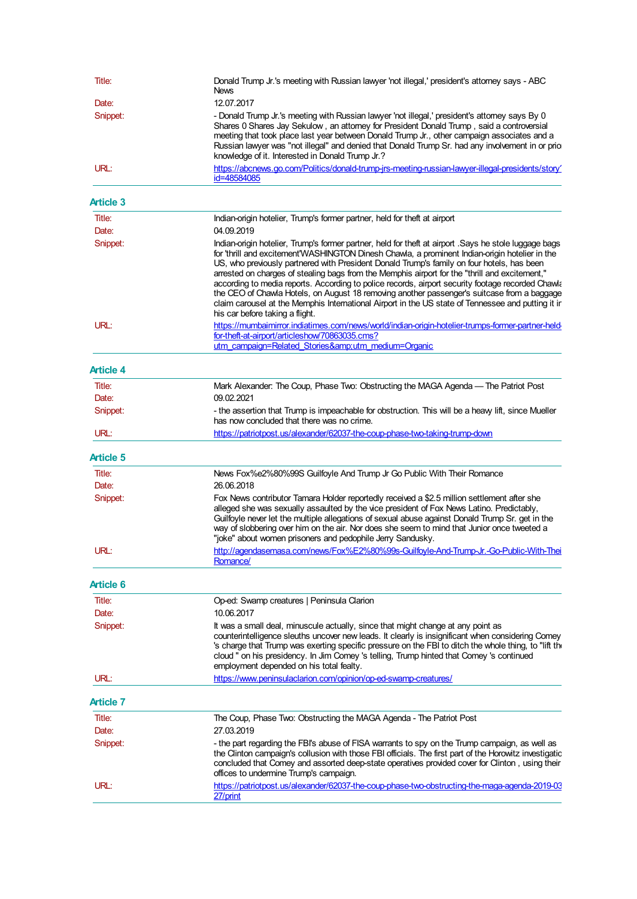| Title:            | Donald Trump Jr.'s meeting with Russian lawyer 'not illegal,' president's attorney says - ABC<br>News                                                                                                                                                                                                                                                                                                                                                                                                                                                                                                                                                                                                                                                |
|-------------------|------------------------------------------------------------------------------------------------------------------------------------------------------------------------------------------------------------------------------------------------------------------------------------------------------------------------------------------------------------------------------------------------------------------------------------------------------------------------------------------------------------------------------------------------------------------------------------------------------------------------------------------------------------------------------------------------------------------------------------------------------|
| Date:<br>Snippet: | 12.07.2017<br>- Donald Trump Jr.'s meeting with Russian lawyer 'not illegal,' president's attorney says By 0                                                                                                                                                                                                                                                                                                                                                                                                                                                                                                                                                                                                                                         |
|                   | Shares 0 Shares Jay Sekulow, an attorney for President Donald Trump, said a controversial<br>meeting that took place last year between Donald Trump Jr., other campaign associates and a<br>Russian lawyer was "not illegal" and denied that Donald Trump Sr. had any involvement in or prio<br>knowledge of it. Interested in Donald Trump Jr.?                                                                                                                                                                                                                                                                                                                                                                                                     |
| URL:              | https://abcnews.go.com/Politics/donald-trump-jrs-meeting-russian-lawyer-illegal-presidents/story'<br>id=48584085                                                                                                                                                                                                                                                                                                                                                                                                                                                                                                                                                                                                                                     |
| <b>Article 3</b>  |                                                                                                                                                                                                                                                                                                                                                                                                                                                                                                                                                                                                                                                                                                                                                      |
| Title:            | Indian-origin hotelier, Trump's former partner, held for theft at airport                                                                                                                                                                                                                                                                                                                                                                                                                                                                                                                                                                                                                                                                            |
| Date:             | 04.09.2019                                                                                                                                                                                                                                                                                                                                                                                                                                                                                                                                                                                                                                                                                                                                           |
| Snippet:          | Indian-origin hotelier, Trump's former partner, held for theft at airport .Says he stole luggage bags<br>for 'thrill and excitement'WASHINGTON Dinesh Chawla, a prominent Indian-origin hotelier in the<br>US, who previously partnered with President Donald Trump's family on four hotels, has been<br>arrested on charges of stealing bags from the Memphis airport for the "thrill and excitement,"<br>according to media reports. According to police records, airport security footage recorded Chawla<br>the CEO of Chawla Hotels, on August 18 removing another passenger's suitcase from a baggage<br>claim carousel at the Memphis International Airport in the US state of Tennessee and putting it ir<br>his car before taking a flight. |
| URL:              | https://mumbaimirror.indiatimes.com/news/world/indian-origin-hotelier-trumps-former-partner-held-<br>for-theft-at-airport/articleshow/70863035.cms?                                                                                                                                                                                                                                                                                                                                                                                                                                                                                                                                                                                                  |
|                   | utm campaign=Related Stories&utm medium=Organic                                                                                                                                                                                                                                                                                                                                                                                                                                                                                                                                                                                                                                                                                                      |
| <b>Article 4</b>  |                                                                                                                                                                                                                                                                                                                                                                                                                                                                                                                                                                                                                                                                                                                                                      |
| Title:            | Mark Alexander: The Coup, Phase Two: Obstructing the MAGA Agenda — The Patriot Post                                                                                                                                                                                                                                                                                                                                                                                                                                                                                                                                                                                                                                                                  |
| Date:<br>Snippet: | 09.02.2021<br>- the assertion that Trump is impeachable for obstruction. This will be a heavy lift, since Mueller<br>has now concluded that there was no crime.                                                                                                                                                                                                                                                                                                                                                                                                                                                                                                                                                                                      |
| URL:              | https://patriotpost.us/alexander/62037-the-coup-phase-two-taking-trump-down                                                                                                                                                                                                                                                                                                                                                                                                                                                                                                                                                                                                                                                                          |
| <b>Article 5</b>  |                                                                                                                                                                                                                                                                                                                                                                                                                                                                                                                                                                                                                                                                                                                                                      |
| Title:            | News Fox%e2%80%99S Guilfoyle And Trump Jr Go Public With Their Romance                                                                                                                                                                                                                                                                                                                                                                                                                                                                                                                                                                                                                                                                               |
| Date:             | 26.06.2018                                                                                                                                                                                                                                                                                                                                                                                                                                                                                                                                                                                                                                                                                                                                           |
| Snippet:          | Fox News contributor Tamara Holder reportedly received a \$2.5 million settlement after she<br>alleged she was sexually assaulted by the vice president of Fox News Latino. Predictably,<br>Guilfoyle never let the multiple allegations of sexual abuse against Donald Trump Sr. get in the<br>way of slobbering over him on the air. Nor does she seem to mind that Junior once tweeted a<br>"joke" about women prisoners and pedophile Jerry Sandusky.                                                                                                                                                                                                                                                                                            |
| URL:              | http://agendasemasa.com/news/Fox%E2%80%99s-Guilfoyle-And-Trump-Jr.-Go-Public-With-Thei<br>Romance/                                                                                                                                                                                                                                                                                                                                                                                                                                                                                                                                                                                                                                                   |
|                   |                                                                                                                                                                                                                                                                                                                                                                                                                                                                                                                                                                                                                                                                                                                                                      |
| <b>Article 6</b>  |                                                                                                                                                                                                                                                                                                                                                                                                                                                                                                                                                                                                                                                                                                                                                      |
| Title:            | Op-ed: Swamp creatures   Peninsula Clarion                                                                                                                                                                                                                                                                                                                                                                                                                                                                                                                                                                                                                                                                                                           |
| Date:<br>Snippet: | 10.06.2017<br>It was a small deal, minuscule actually, since that might change at any point as<br>counterintelligence sleuths uncover new leads. It clearly is insignificant when considering Comey<br>'s charge that Trump was exerting specific pressure on the FBI to ditch the whole thing, to "lift the<br>cloud " on his presidency. In Jim Comey 's telling, Trump hinted that Comey 's continued                                                                                                                                                                                                                                                                                                                                             |
| URL:              | employment depended on his total fealty.<br>https://www.peninsulaclarion.com/opinion/op-ed-swamp-creatures/                                                                                                                                                                                                                                                                                                                                                                                                                                                                                                                                                                                                                                          |
| <b>Article 7</b>  |                                                                                                                                                                                                                                                                                                                                                                                                                                                                                                                                                                                                                                                                                                                                                      |
| Title:            | The Coup, Phase Two: Obstructing the MAGA Agenda - The Patriot Post                                                                                                                                                                                                                                                                                                                                                                                                                                                                                                                                                                                                                                                                                  |
| Date:             | 27.03.2019                                                                                                                                                                                                                                                                                                                                                                                                                                                                                                                                                                                                                                                                                                                                           |
| Snippet:          | - the part regarding the FBI's abuse of FISA warrants to spy on the Trump campaign, as well as<br>the Clinton campaign's collusion with those FBI officials. The first part of the Horowitz investigation<br>concluded that Comey and assorted deep-state operatives provided cover for Clinton, using their<br>offices to undermine Trump's campaign.                                                                                                                                                                                                                                                                                                                                                                                               |
| URL:              | https://patriotpost.us/alexander/62037-the-coup-phase-two-obstructing-the-maga-agenda-2019-03<br>27/print                                                                                                                                                                                                                                                                                                                                                                                                                                                                                                                                                                                                                                            |